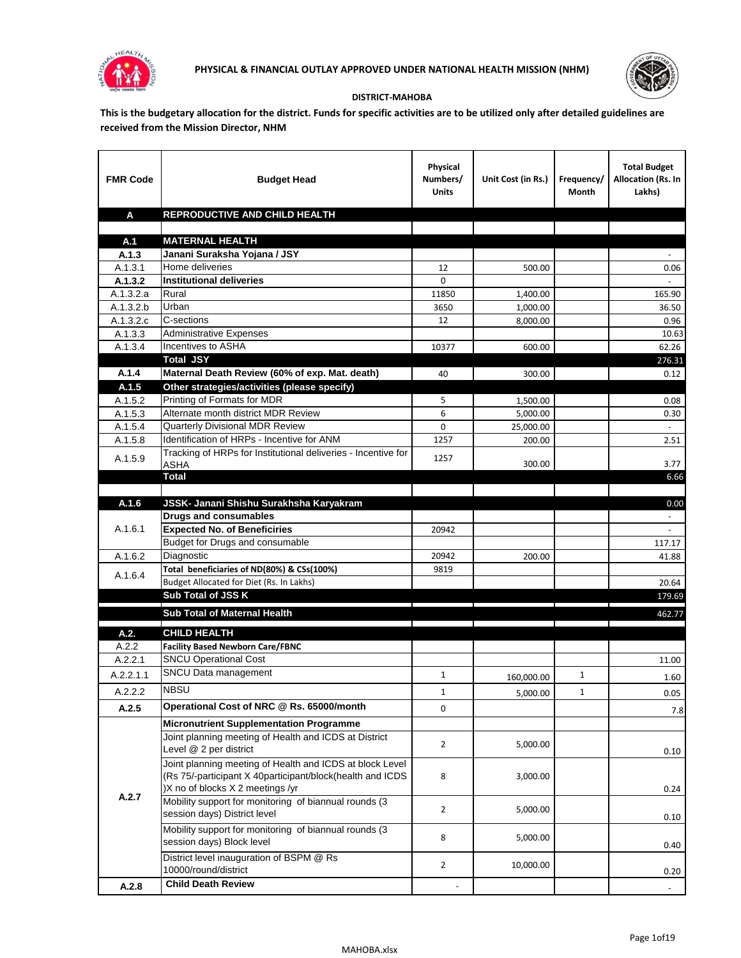



## **DISTRICT-MAHOBA**

**This is the budgetary allocation for the district. Funds for specific activities are to be utilized only after detailed guidelines are received from the Mission Director, NHM**

| <b>FMR Code</b>    | <b>Budget Head</b>                                                                                                                                        | Physical<br>Numbers/<br><b>Units</b> | Unit Cost (in Rs.) | Frequency/<br>Month | <b>Total Budget</b><br>Allocation (Rs. In<br>Lakhs) |
|--------------------|-----------------------------------------------------------------------------------------------------------------------------------------------------------|--------------------------------------|--------------------|---------------------|-----------------------------------------------------|
| A                  | REPRODUCTIVE AND CHILD HEALTH                                                                                                                             |                                      |                    |                     |                                                     |
|                    |                                                                                                                                                           |                                      |                    |                     |                                                     |
| A.1                | <b>MATERNAL HEALTH</b>                                                                                                                                    |                                      |                    |                     |                                                     |
| A.1.3              | Janani Suraksha Yojana / JSY                                                                                                                              |                                      |                    |                     |                                                     |
| A.1.3.1<br>A.1.3.2 | Home deliveries<br><b>Institutional deliveries</b>                                                                                                        | 12<br>0                              | 500.00             |                     | 0.06                                                |
| A.1.3.2.a          | Rural                                                                                                                                                     | 11850                                | 1,400.00           |                     | 165.90                                              |
| A.1.3.2.b          | Urban                                                                                                                                                     | 3650                                 | 1,000.00           |                     | 36.50                                               |
| A.1.3.2.c          | C-sections                                                                                                                                                | 12                                   | 8,000.00           |                     | 0.96                                                |
| A.1.3.3            | <b>Administrative Expenses</b>                                                                                                                            |                                      |                    |                     | 10.63                                               |
| A.1.3.4            | Incentives to ASHA                                                                                                                                        | 10377                                | 600.00             |                     | 62.26                                               |
|                    | <b>Total JSY</b>                                                                                                                                          |                                      |                    |                     | 276.31                                              |
| A.1.4              | Maternal Death Review (60% of exp. Mat. death)                                                                                                            | 40                                   | 300.00             |                     | 0.12                                                |
| A.1.5              | Other strategies/activities (please specify)                                                                                                              |                                      |                    |                     |                                                     |
| A.1.5.2            | Printing of Formats for MDR                                                                                                                               | 5                                    | 1.500.00           |                     | 0.08                                                |
| A.1.5.3            | Alternate month district MDR Review                                                                                                                       | 6                                    | 5,000.00           |                     | 0.30                                                |
| A.1.5.4            | <b>Quarterly Divisional MDR Review</b>                                                                                                                    | 0                                    | 25,000.00          |                     |                                                     |
| A.1.5.8            | Identification of HRPs - Incentive for ANM                                                                                                                | 1257                                 | 200.00             |                     | 2.51                                                |
| A.1.5.9            | Tracking of HRPs for Institutional deliveries - Incentive for<br><b>ASHA</b>                                                                              | 1257                                 | 300.00             |                     | 3.77                                                |
|                    | <b>Total</b>                                                                                                                                              |                                      |                    |                     | 6.66                                                |
|                    |                                                                                                                                                           |                                      |                    |                     |                                                     |
| A.1.6              | JSSK- Janani Shishu Surakhsha Karyakram                                                                                                                   |                                      |                    |                     | 0.00                                                |
|                    | <b>Drugs and consumables</b>                                                                                                                              |                                      |                    |                     |                                                     |
| A.1.6.1            | <b>Expected No. of Beneficiries</b><br>Budget for Drugs and consumable                                                                                    | 20942                                |                    |                     | $\omega$<br>117.17                                  |
| A.1.6.2            | Diagnostic                                                                                                                                                | 20942                                | 200.00             |                     | 41.88                                               |
|                    | Total beneficiaries of ND(80%) & CSs(100%)                                                                                                                | 9819                                 |                    |                     |                                                     |
| A.1.6.4            | Budget Allocated for Diet (Rs. In Lakhs)                                                                                                                  |                                      |                    |                     | 20.64                                               |
|                    | Sub Total of JSS K                                                                                                                                        |                                      |                    |                     | 179.69                                              |
|                    | Sub Total of Maternal Health                                                                                                                              |                                      |                    |                     | 462.77                                              |
|                    |                                                                                                                                                           |                                      |                    |                     |                                                     |
| A.2.               | <b>CHILD HEALTH</b><br><b>Facility Based Newborn Care/FBNC</b>                                                                                            |                                      |                    |                     |                                                     |
| A.2.2<br>A.2.2.1   | <b>SNCU Operational Cost</b>                                                                                                                              |                                      |                    |                     | 11.00                                               |
|                    | SNCU Data management                                                                                                                                      |                                      |                    |                     |                                                     |
| A.2.2.1.1          | <b>NBSU</b>                                                                                                                                               | $\mathbf{1}$                         | 160,000.00         | $\mathbf{1}$        | 1.60                                                |
| A.2.2.2            |                                                                                                                                                           | 1                                    | 5,000.00           | 1                   | 0.05                                                |
| A.2.5              | Operational Cost of NRC @ Rs. 65000/month                                                                                                                 | 0                                    |                    |                     | 7.8                                                 |
|                    | <b>Micronutrient Supplementation Programme</b>                                                                                                            |                                      |                    |                     |                                                     |
|                    | Joint planning meeting of Health and ICDS at District<br>Level @ 2 per district                                                                           | $\overline{2}$                       | 5,000.00           |                     | 0.10                                                |
|                    | Joint planning meeting of Health and ICDS at block Level<br>(Rs 75/-participant X 40participant/block(health and ICDS<br>)X no of blocks X 2 meetings /yr | 8                                    | 3,000.00           |                     | 0.24                                                |
| A.2.7              | Mobility support for monitoring of biannual rounds (3<br>session days) District level                                                                     | $\overline{2}$                       | 5,000.00           |                     | 0.10                                                |
|                    | Mobility support for monitoring of biannual rounds (3<br>session days) Block level                                                                        | 8                                    | 5,000.00           |                     | 0.40                                                |
|                    | District level inauguration of BSPM @ Rs<br>10000/round/district                                                                                          | $\overline{2}$                       | 10,000.00          |                     | 0.20                                                |
| A.2.8              | <b>Child Death Review</b>                                                                                                                                 |                                      |                    |                     | $\overline{\phantom{a}}$                            |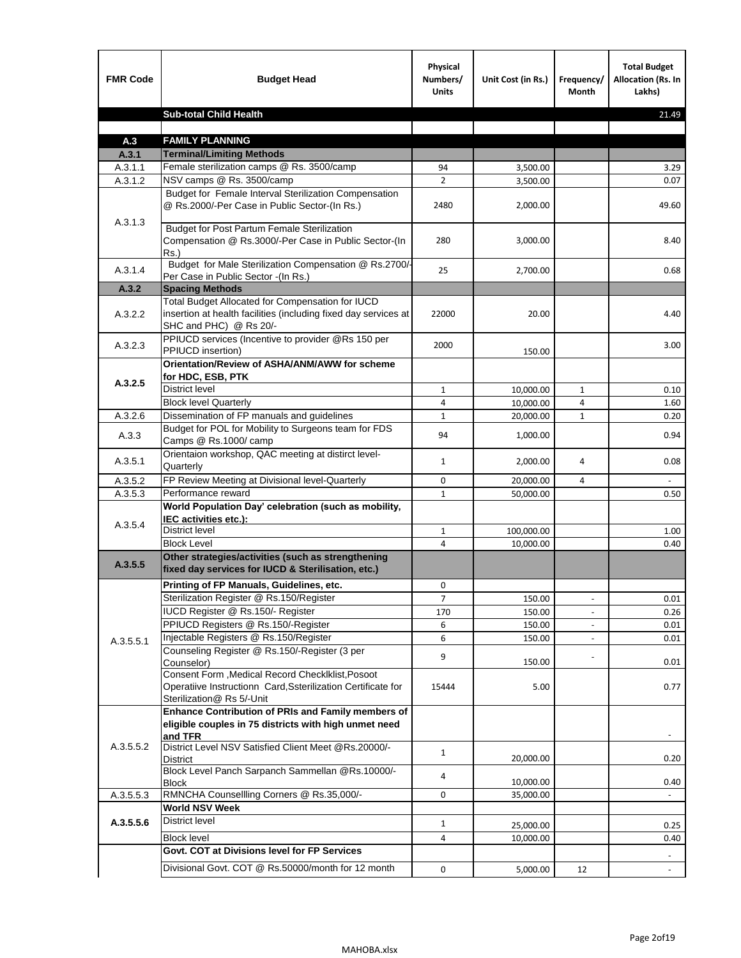| <b>FMR Code</b> | <b>Budget Head</b>                                                                                                                             | Physical<br>Numbers/<br><b>Units</b> | Unit Cost (in Rs.) | Frequency/<br><b>Month</b> | <b>Total Budget</b><br>Allocation (Rs. In<br>Lakhs) |
|-----------------|------------------------------------------------------------------------------------------------------------------------------------------------|--------------------------------------|--------------------|----------------------------|-----------------------------------------------------|
|                 | <b>Sub-total Child Health</b>                                                                                                                  |                                      |                    |                            | 21.49                                               |
|                 |                                                                                                                                                |                                      |                    |                            |                                                     |
| A.3             | <b>FAMILY PLANNING</b>                                                                                                                         |                                      |                    |                            |                                                     |
| A.3.1           | <b>Terminal/Limiting Methods</b>                                                                                                               |                                      |                    |                            |                                                     |
| A.3.1.1         | Female sterilization camps @ Rs. 3500/camp                                                                                                     | 94                                   | 3,500.00           |                            | 3.29                                                |
| A.3.1.2         | NSV camps @ Rs. 3500/camp<br>Budget for Female Interval Sterilization Compensation                                                             | $\overline{2}$                       | 3,500.00           |                            | 0.07                                                |
| A.3.1.3         | @ Rs.2000/-Per Case in Public Sector-(In Rs.)                                                                                                  | 2480                                 | 2,000.00           |                            | 49.60                                               |
|                 | <b>Budget for Post Partum Female Sterilization</b><br>Compensation @ Rs.3000/-Per Case in Public Sector-(In<br>$Rs.$ )                         | 280                                  | 3,000.00           |                            | 8.40                                                |
| A.3.1.4         | Budget for Male Sterilization Compensation @ Rs.2700/-<br>Per Case in Public Sector -(In Rs.)                                                  | 25                                   | 2,700.00           |                            | 0.68                                                |
| A.3.2           | <b>Spacing Methods</b>                                                                                                                         |                                      |                    |                            |                                                     |
| A.3.2.2         | Total Budget Allocated for Compensation for IUCD<br>insertion at health facilities (including fixed day services at<br>SHC and PHC) @ Rs 20/-  | 22000                                | 20.00              |                            | 4.40                                                |
| A.3.2.3         | PPIUCD services (Incentive to provider @Rs 150 per<br>PPIUCD insertion)                                                                        | 2000                                 | 150.00             |                            | 3.00                                                |
|                 | Orientation/Review of ASHA/ANM/AWW for scheme<br>for HDC, ESB, PTK                                                                             |                                      |                    |                            |                                                     |
| A.3.2.5         | <b>District level</b>                                                                                                                          | $\mathbf{1}$                         | 10,000.00          | $\mathbf{1}$               | 0.10                                                |
|                 | <b>Block level Quarterly</b>                                                                                                                   | 4                                    | 10,000.00          | 4                          | 1.60                                                |
| A.3.2.6         | Dissemination of FP manuals and guidelines                                                                                                     | $\mathbf{1}$                         | 20,000.00          | $\mathbf{1}$               | 0.20                                                |
| A.3.3           | Budget for POL for Mobility to Surgeons team for FDS<br>Camps @ Rs.1000/ camp                                                                  | 94                                   | 1,000.00           |                            | 0.94                                                |
| A.3.5.1         | Orientaion workshop, QAC meeting at distirct level-<br>Quarterly                                                                               | $\mathbf{1}$                         | 2,000.00           | 4                          | 0.08                                                |
| A.3.5.2         | FP Review Meeting at Divisional level-Quarterly                                                                                                | 0                                    | 20,000.00          | 4                          |                                                     |
| A.3.5.3         | Performance reward                                                                                                                             | $\mathbf{1}$                         | 50,000.00          |                            | 0.50                                                |
| A.3.5.4         | World Population Day' celebration (such as mobility,<br>IEC activities etc.):                                                                  |                                      |                    |                            |                                                     |
|                 | District level                                                                                                                                 | $\mathbf{1}$                         | 100,000.00         |                            | 1.00                                                |
|                 | <b>Block Level</b>                                                                                                                             | 4                                    | 10,000.00          |                            | 0.40                                                |
| A.3.5.5         | Other strategies/activities (such as strengthening<br>fixed day services for IUCD & Sterilisation, etc.)                                       |                                      |                    |                            |                                                     |
|                 | Printing of FP Manuals, Guidelines, etc.                                                                                                       | 0                                    |                    |                            |                                                     |
|                 | Sterilization Register @ Rs.150/Register                                                                                                       | 7                                    | 150.00             |                            | 0.01                                                |
|                 | IUCD Register @ Rs.150/- Register                                                                                                              | 170                                  | 150.00             |                            | 0.26                                                |
|                 | PPIUCD Registers @ Rs.150/-Register                                                                                                            | 6                                    | 150.00             |                            | 0.01                                                |
| A.3.5.5.1       | Injectable Registers @ Rs.150/Register                                                                                                         | 6                                    | 150.00             |                            | 0.01                                                |
|                 | Counseling Register @ Rs.150/-Register (3 per<br>Counselor)                                                                                    | 9                                    | 150.00             |                            | 0.01                                                |
|                 | Consent Form , Medical Record CheckIklist, Posoot<br>Operatiive Instructionn Card, Ssterilization Certificate for<br>Sterilization@ Rs 5/-Unit | 15444                                | 5.00               |                            | 0.77                                                |
|                 | Enhance Contribution of PRIs and Family members of<br>eligible couples in 75 districts with high unmet need<br>and TFR                         |                                      |                    |                            |                                                     |
| A.3.5.5.2       | District Level NSV Satisfied Client Meet @Rs.20000/-<br>District                                                                               | $\mathbf{1}$                         | 20,000.00          |                            | 0.20                                                |
|                 | Block Level Panch Sarpanch Sammellan @Rs.10000/-<br><b>Block</b>                                                                               | 4                                    | 10,000.00          |                            | 0.40                                                |
| A.3.5.5.3       | RMNCHA Counsellling Corners @ Rs.35,000/-                                                                                                      | 0                                    | 35,000.00          |                            |                                                     |
|                 | <b>World NSV Week</b>                                                                                                                          |                                      |                    |                            |                                                     |
| A.3.5.5.6       | <b>District level</b>                                                                                                                          | $\mathbf{1}$                         | 25,000.00          |                            | 0.25                                                |
|                 | <b>Block level</b>                                                                                                                             | 4                                    | 10,000.00          |                            | 0.40                                                |
|                 | Govt. COT at Divisions level for FP Services                                                                                                   |                                      |                    |                            |                                                     |
|                 | Divisional Govt. COT @ Rs.50000/month for 12 month                                                                                             | 0                                    | 5,000.00           | 12                         | $\blacksquare$                                      |
|                 |                                                                                                                                                |                                      |                    |                            |                                                     |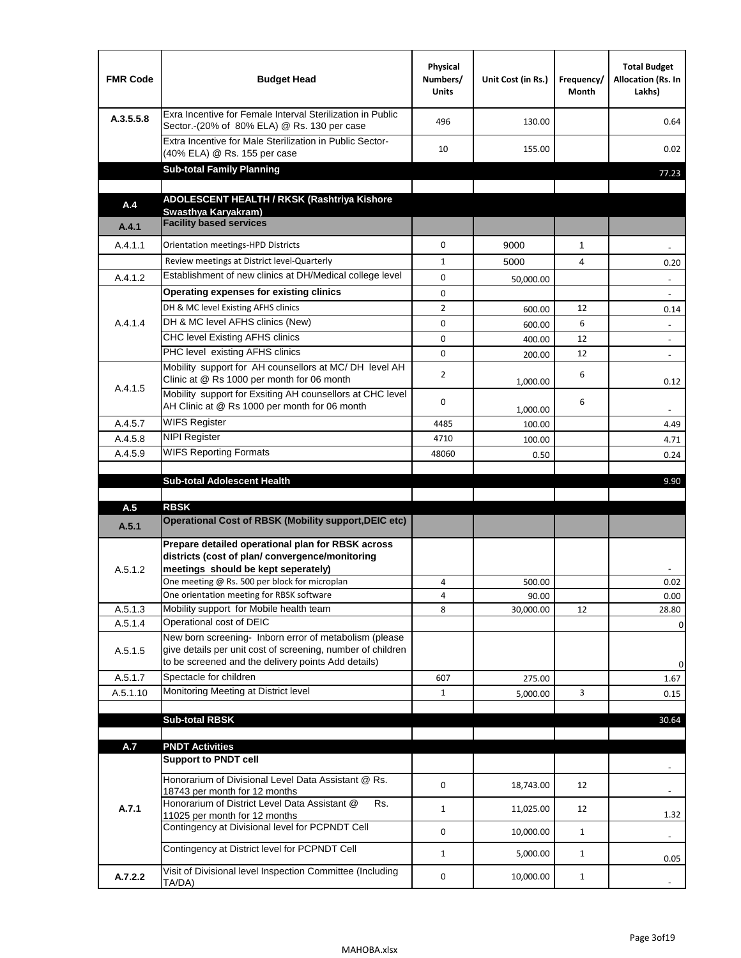| <b>FMR Code</b> | <b>Budget Head</b>                                                                                                                                                                                                                       | Physical<br>Numbers/<br><b>Units</b> | Unit Cost (in Rs.) | Frequency/<br>Month | <b>Total Budget</b><br>Allocation (Rs. In<br>Lakhs) |
|-----------------|------------------------------------------------------------------------------------------------------------------------------------------------------------------------------------------------------------------------------------------|--------------------------------------|--------------------|---------------------|-----------------------------------------------------|
| A.3.5.5.8       | Exra Incentive for Female Interval Sterilization in Public<br>Sector.-(20% of 80% ELA) @ Rs. 130 per case                                                                                                                                | 496                                  | 130.00             |                     | 0.64                                                |
|                 | Extra Incentive for Male Sterilization in Public Sector-<br>(40% ELA) @ Rs. 155 per case                                                                                                                                                 | 10                                   | 155.00             |                     | 0.02                                                |
|                 | <b>Sub-total Family Planning</b>                                                                                                                                                                                                         |                                      |                    |                     | 77.23                                               |
|                 | ADOLESCENT HEALTH / RKSK (Rashtriya Kishore                                                                                                                                                                                              |                                      |                    |                     |                                                     |
| A.4             | Swasthya Karyakram)                                                                                                                                                                                                                      |                                      |                    |                     |                                                     |
| A.4.1           | <b>Facility based services</b>                                                                                                                                                                                                           |                                      |                    |                     |                                                     |
| A.4.1.1         | Orientation meetings-HPD Districts                                                                                                                                                                                                       | $\Omega$                             | 9000               | $\mathbf{1}$        |                                                     |
|                 | Review meetings at District level-Quarterly                                                                                                                                                                                              | $\mathbf{1}$                         | 5000               | 4                   | 0.20                                                |
| A.4.1.2         | Establishment of new clinics at DH/Medical college level                                                                                                                                                                                 | 0                                    | 50,000.00          |                     |                                                     |
|                 | Operating expenses for existing clinics                                                                                                                                                                                                  | 0                                    |                    |                     |                                                     |
|                 | DH & MC level Existing AFHS clinics                                                                                                                                                                                                      | $\overline{2}$                       | 600.00             | 12                  | 0.14                                                |
| A.4.1.4         | DH & MC level AFHS clinics (New)                                                                                                                                                                                                         | 0                                    | 600.00             | 6                   | $\overline{\phantom{a}}$                            |
|                 | CHC level Existing AFHS clinics                                                                                                                                                                                                          | 0                                    | 400.00             | 12                  | $\overline{\phantom{a}}$                            |
|                 | PHC level existing AFHS clinics                                                                                                                                                                                                          | $\Omega$                             | 200.00             | 12                  | $\sim$                                              |
| A.4.1.5         | Mobility support for AH counsellors at MC/DH level AH<br>Clinic at @ Rs 1000 per month for 06 month                                                                                                                                      | 2                                    | 1,000.00           | 6                   | 0.12                                                |
|                 | Mobility support for Exsiting AH counsellors at CHC level<br>AH Clinic at @ Rs 1000 per month for 06 month                                                                                                                               | 0                                    | 1,000.00           | 6                   |                                                     |
| A.4.5.7         | <b>WIFS Register</b>                                                                                                                                                                                                                     | 4485                                 | 100.00             |                     | 4.49                                                |
| A.4.5.8         | <b>NIPI Register</b>                                                                                                                                                                                                                     | 4710                                 | 100.00             |                     | 4.71                                                |
| A.4.5.9         | <b>WIFS Reporting Formats</b>                                                                                                                                                                                                            | 48060                                | 0.50               |                     | 0.24                                                |
|                 | <b>Sub-total Adolescent Health</b>                                                                                                                                                                                                       |                                      |                    |                     | 9.90                                                |
| A.5             | <b>RBSK</b>                                                                                                                                                                                                                              |                                      |                    |                     |                                                     |
| A.5.1           | <b>Operational Cost of RBSK (Mobility support, DEIC etc)</b>                                                                                                                                                                             |                                      |                    |                     |                                                     |
| A.5.1.2         | Prepare detailed operational plan for RBSK across<br>districts (cost of plan/convergence/monitoring<br>meetings should be kept seperately)<br>One meeting @ Rs. 500 per block for microplan<br>One orientation meeting for RBSK software | 4<br>4                               | 500.00<br>90.00    |                     | 0.02<br>0.00                                        |
| A.5.1.3         | Mobility support for Mobile health team                                                                                                                                                                                                  | 8                                    | 30,000.00          | 12                  | 28.80                                               |
| A.5.1.4         | Operational cost of DEIC                                                                                                                                                                                                                 |                                      |                    |                     | 0                                                   |
| A.5.1.5         | New born screening- Inborn error of metabolism (please<br>give details per unit cost of screening, number of children<br>to be screened and the delivery points Add details)                                                             |                                      |                    |                     | 0                                                   |
| A.5.1.7         | Spectacle for children                                                                                                                                                                                                                   | 607                                  | 275.00             |                     | 1.67                                                |
| A.5.1.10        | Monitoring Meeting at District level                                                                                                                                                                                                     | $\mathbf{1}$                         | 5,000.00           | 3                   | 0.15                                                |
|                 |                                                                                                                                                                                                                                          |                                      |                    |                     |                                                     |
|                 | <b>Sub-total RBSK</b>                                                                                                                                                                                                                    |                                      |                    |                     | 30.64                                               |
| A.7             | <b>PNDT Activities</b>                                                                                                                                                                                                                   |                                      |                    |                     |                                                     |
|                 | <b>Support to PNDT cell</b>                                                                                                                                                                                                              |                                      |                    |                     |                                                     |
|                 | Honorarium of Divisional Level Data Assistant @ Rs.<br>18743 per month for 12 months                                                                                                                                                     | 0                                    | 18,743.00          | 12                  |                                                     |
| A.7.1           | Honorarium of District Level Data Assistant @<br>Rs.<br>11025 per month for 12 months                                                                                                                                                    | $\mathbf{1}$                         | 11,025.00          | 12                  | 1.32                                                |
|                 | Contingency at Divisional level for PCPNDT Cell                                                                                                                                                                                          | 0                                    | 10,000.00          | $\mathbf{1}$        | $\overline{\phantom{a}}$                            |
|                 | Contingency at District level for PCPNDT Cell                                                                                                                                                                                            | $\mathbf{1}$                         | 5,000.00           | $\mathbf{1}$        | 0.05                                                |
| A.7.2.2         | Visit of Divisional level Inspection Committee (Including<br>TA/DA)                                                                                                                                                                      | 0                                    | 10,000.00          | $\mathbf{1}$        |                                                     |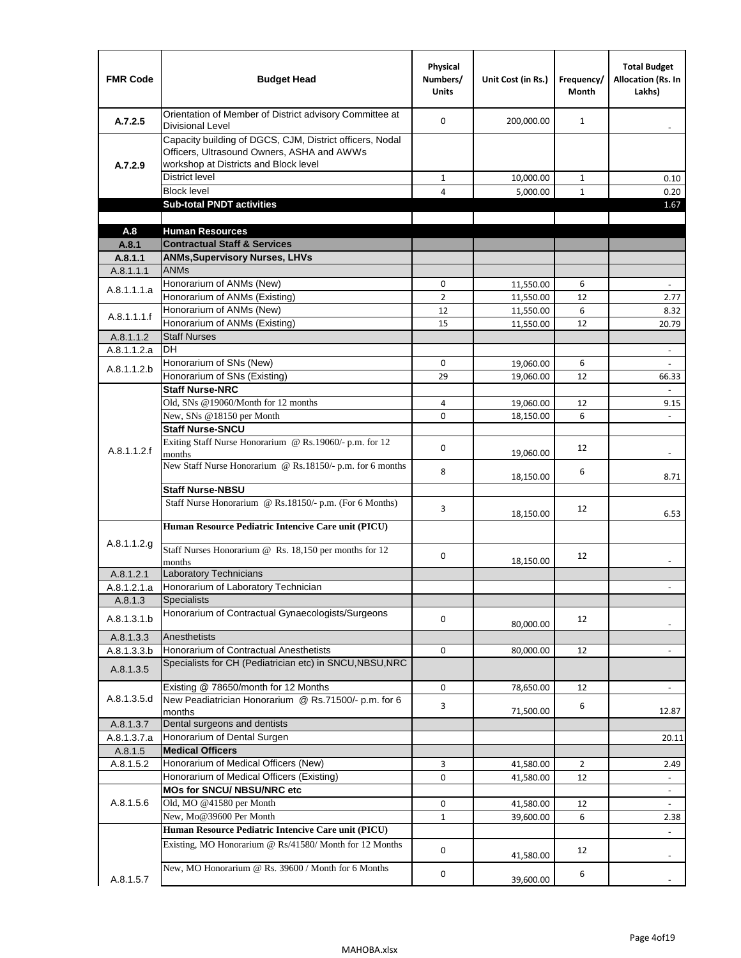| <b>FMR Code</b>      | <b>Budget Head</b>                                                                                                                              | Physical<br>Numbers/<br><b>Units</b> | Unit Cost (in Rs.)     | Frequency/<br><b>Month</b> | <b>Total Budget</b><br><b>Allocation (Rs. In</b><br>Lakhs) |
|----------------------|-------------------------------------------------------------------------------------------------------------------------------------------------|--------------------------------------|------------------------|----------------------------|------------------------------------------------------------|
| A.7.2.5              | Orientation of Member of District advisory Committee at<br><b>Divisional Level</b>                                                              | $\Omega$                             | 200,000.00             | $\mathbf{1}$               | $\blacksquare$                                             |
| A.7.2.9              | Capacity building of DGCS, CJM, District officers, Nodal<br>Officers, Ultrasound Owners, ASHA and AWWs<br>workshop at Districts and Block level |                                      |                        |                            |                                                            |
|                      | <b>District level</b>                                                                                                                           | $\mathbf{1}$                         | 10,000.00              | $\mathbf{1}$               | 0.10                                                       |
|                      | <b>Block level</b>                                                                                                                              | 4                                    | 5,000.00               | $\mathbf{1}$               | 0.20                                                       |
|                      | <b>Sub-total PNDT activities</b>                                                                                                                |                                      |                        |                            | 1.67                                                       |
|                      |                                                                                                                                                 |                                      |                        |                            |                                                            |
| A.8                  | <b>Human Resources</b>                                                                                                                          |                                      |                        |                            |                                                            |
| A.8.1                | <b>Contractual Staff &amp; Services</b>                                                                                                         |                                      |                        |                            |                                                            |
| A.8.1.1<br>A.8.1.1.1 | <b>ANMs, Supervisory Nurses, LHVs</b><br><b>ANMs</b>                                                                                            |                                      |                        |                            |                                                            |
|                      | Honorarium of ANMs (New)                                                                                                                        | 0                                    |                        | 6                          | $\blacksquare$                                             |
| A.8.1.1.1.a          | Honorarium of ANMs (Existing)                                                                                                                   | $\overline{2}$                       | 11,550.00<br>11,550.00 | 12                         | 2.77                                                       |
|                      | Honorarium of ANMs (New)                                                                                                                        | 12                                   | 11,550.00              | 6                          | 8.32                                                       |
| A.8.1.1.1.f          | Honorarium of ANMs (Existing)                                                                                                                   | 15                                   | 11,550.00              | 12                         | 20.79                                                      |
| A.8.1.1.2            | <b>Staff Nurses</b>                                                                                                                             |                                      |                        |                            |                                                            |
| A.8.1.1.2.a          | <b>DH</b>                                                                                                                                       |                                      |                        |                            | $\blacksquare$                                             |
|                      | Honorarium of SNs (New)                                                                                                                         | 0                                    | 19,060.00              | 6                          |                                                            |
| A.8.1.1.2.b          | Honorarium of SNs (Existing)                                                                                                                    | 29                                   | 19.060.00              | 12                         | 66.33                                                      |
|                      | <b>Staff Nurse-NRC</b>                                                                                                                          |                                      |                        |                            | $\overline{a}$                                             |
|                      | Old, SNs @19060/Month for 12 months                                                                                                             | 4                                    | 19,060.00              | 12                         | 9.15                                                       |
|                      | New, SNs @18150 per Month                                                                                                                       | 0                                    | 18,150.00              | 6                          |                                                            |
|                      | <b>Staff Nurse-SNCU</b>                                                                                                                         |                                      |                        |                            |                                                            |
| A.8.1.1.2.f          | Exiting Staff Nurse Honorarium @ Rs.19060/- p.m. for 12<br>months                                                                               | $\Omega$                             | 19,060.00              | 12                         | -                                                          |
|                      | New Staff Nurse Honorarium @ Rs.18150/- p.m. for 6 months                                                                                       | 8                                    | 18,150.00              | 6                          | 8.71                                                       |
|                      | <b>Staff Nurse-NBSU</b>                                                                                                                         |                                      |                        |                            |                                                            |
|                      | Staff Nurse Honorarium @ Rs.18150/- p.m. (For 6 Months)                                                                                         | 3                                    | 18,150.00              | 12                         | 6.53                                                       |
|                      | Human Resource Pediatric Intencive Care unit (PICU)                                                                                             |                                      |                        |                            |                                                            |
| A.8.1.1.2.g          | Staff Nurses Honorarium @ Rs. 18,150 per months for 12<br>months                                                                                | 0                                    | 18,150.00              | 12                         |                                                            |
| A.8.1.2.1            | <b>Laboratory Technicians</b>                                                                                                                   |                                      |                        |                            |                                                            |
| A.8.1.2.1.a          | Honorarium of Laboratory Technician                                                                                                             |                                      |                        |                            |                                                            |
| A.8.1.3              | <b>Specialists</b>                                                                                                                              |                                      |                        |                            |                                                            |
| A.8.1.3.1.b          | Honorarium of Contractual Gynaecologists/Surgeons                                                                                               | $\mathbf 0$                          | 80,000.00              | 12                         |                                                            |
| A.8.1.3.3            | Anesthetists                                                                                                                                    |                                      |                        |                            |                                                            |
| A.8.1.3.3.b          | Honorarium of Contractual Anesthetists                                                                                                          | 0                                    | 80,000.00              | 12                         |                                                            |
| A.8.1.3.5            | Specialists for CH (Pediatrician etc) in SNCU, NBSU, NRC                                                                                        |                                      |                        |                            |                                                            |
|                      | Existing @ 78650/month for 12 Months                                                                                                            | 0                                    | 78,650.00              | 12                         | $\blacksquare$                                             |
| A.8.1.3.5.d          | New Peadiatrician Honorarium @ Rs.71500/- p.m. for 6<br>months                                                                                  | 3                                    | 71,500.00              | 6                          | 12.87                                                      |
| A.8.1.3.7            | Dental surgeons and dentists                                                                                                                    |                                      |                        |                            |                                                            |
| A.8.1.3.7.a          | Honorarium of Dental Surgen                                                                                                                     |                                      |                        |                            | 20.11                                                      |
| A.8.1.5              | <b>Medical Officers</b>                                                                                                                         |                                      |                        |                            |                                                            |
| A.8.1.5.2            | Honorarium of Medical Officers (New)                                                                                                            | 3                                    | 41,580.00              | $\overline{2}$             | 2.49                                                       |
|                      | Honorarium of Medical Officers (Existing)                                                                                                       | 0                                    | 41,580.00              | 12                         |                                                            |
|                      | MOs for SNCU/ NBSU/NRC etc                                                                                                                      |                                      |                        |                            |                                                            |
| A.8.1.5.6            | Old, MO @41580 per Month                                                                                                                        | 0                                    | 41,580.00              | 12                         | $\blacksquare$                                             |
|                      | New, Mo@39600 Per Month                                                                                                                         | $\mathbf{1}$                         | 39,600.00              | 6                          | 2.38                                                       |
|                      | Human Resource Pediatric Intencive Care unit (PICU)                                                                                             |                                      |                        |                            |                                                            |
|                      | Existing, MO Honorarium @ Rs/41580/ Month for 12 Months                                                                                         | $\mathbf 0$                          | 41,580.00              | 12                         |                                                            |
| A.8.1.5.7            | New, MO Honorarium @ Rs. 39600 / Month for 6 Months                                                                                             | 0                                    | 39,600.00              | 6                          |                                                            |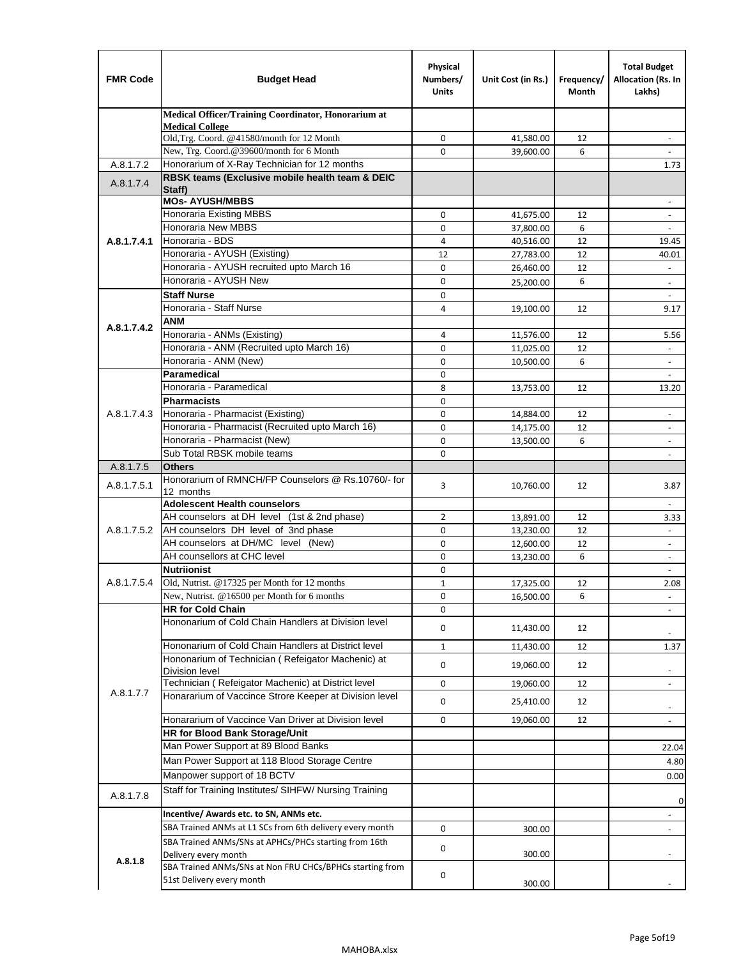| <b>FMR Code</b> | <b>Budget Head</b>                                                                                       | Physical<br>Numbers/<br><b>Units</b> | Unit Cost (in Rs.) | Frequency/<br>Month | <b>Total Budget</b><br>Allocation (Rs. In<br>Lakhs) |
|-----------------|----------------------------------------------------------------------------------------------------------|--------------------------------------|--------------------|---------------------|-----------------------------------------------------|
|                 | Medical Officer/Training Coordinator, Honorarium at                                                      |                                      |                    |                     |                                                     |
|                 | <b>Medical College</b><br>Old, Trg. Coord. @41580/month for 12 Month                                     | $\mathbf 0$                          | 41,580.00          | 12                  | $\overline{\phantom{a}}$                            |
|                 | New, Trg. Coord.@39600/month for 6 Month                                                                 | $\Omega$                             | 39,600.00          | 6                   |                                                     |
| A.8.1.7.2       | Honorarium of X-Ray Technician for 12 months                                                             |                                      |                    |                     | 1.73                                                |
| A.8.1.7.4       | RBSK teams (Exclusive mobile health team & DEIC<br>Staff)                                                |                                      |                    |                     |                                                     |
|                 | <b>MOs- AYUSH/MBBS</b>                                                                                   |                                      |                    |                     |                                                     |
|                 | <b>Honoraria Existing MBBS</b>                                                                           | $\mathbf 0$                          | 41,675.00          | 12                  | $\blacksquare$                                      |
|                 | Honoraria New MBBS                                                                                       | 0                                    | 37,800.00          | 6                   | $\blacksquare$                                      |
| A.8.1.7.4.1     | Honoraria - BDS                                                                                          | 4                                    | 40,516.00          | 12                  | 19.45                                               |
|                 | Honoraria - AYUSH (Existing)                                                                             | 12                                   | 27,783.00          | 12                  | 40.01                                               |
|                 | Honoraria - AYUSH recruited upto March 16                                                                | $\mathbf 0$                          | 26,460.00          | 12                  |                                                     |
|                 | Honoraria - AYUSH New                                                                                    | $\mathbf 0$                          | 25,200.00          | 6                   | $\overline{\phantom{a}}$                            |
|                 | <b>Staff Nurse</b>                                                                                       | $\Omega$                             |                    |                     |                                                     |
|                 | Honoraria - Staff Nurse                                                                                  | 4                                    | 19,100.00          | 12                  | 9.17                                                |
| A.8.1.7.4.2     | <b>ANM</b>                                                                                               |                                      |                    |                     |                                                     |
|                 | Honoraria - ANMs (Existing)<br>Honoraria - ANM (Recruited upto March 16)                                 | 4                                    | 11,576.00          | 12                  | 5.56                                                |
|                 | Honoraria - ANM (New)                                                                                    | 0<br>0                               | 11,025.00          | 12<br>6             | $\overline{\phantom{a}}$                            |
|                 | Paramedical                                                                                              | $\mathbf 0$                          | 10,500.00          |                     | $\blacksquare$                                      |
|                 | Honoraria - Paramedical                                                                                  | 8                                    | 13,753.00          | 12                  | 13.20                                               |
|                 | <b>Pharmacists</b>                                                                                       | 0                                    |                    |                     |                                                     |
| A.8.1.7.4.3     | Honoraria - Pharmacist (Existing)                                                                        | $\mathbf 0$                          | 14,884.00          | 12                  | $\overline{\phantom{a}}$                            |
|                 | Honoraria - Pharmacist (Recruited upto March 16)                                                         | 0                                    | 14,175.00          | 12                  | $\blacksquare$                                      |
|                 | Honoraria - Pharmacist (New)                                                                             | $\mathbf 0$                          | 13,500.00          | 6                   | $\overline{\phantom{a}}$                            |
|                 | Sub Total RBSK mobile teams                                                                              | $\Omega$                             |                    |                     | $\overline{\phantom{a}}$                            |
| A.8.1.7.5       | <b>Others</b>                                                                                            |                                      |                    |                     |                                                     |
| A.8.1.7.5.1     | Honorarium of RMNCH/FP Counselors @ Rs.10760/- for                                                       | 3                                    | 10,760.00          | 12                  | 3.87                                                |
|                 | 12 months                                                                                                |                                      |                    |                     |                                                     |
|                 | <b>Adolescent Health counselors</b>                                                                      |                                      |                    |                     | $\overline{\phantom{a}}$                            |
|                 | AH counselors at DH level (1st & 2nd phase)                                                              | 2                                    | 13,891.00          | 12                  | 3.33                                                |
| A.8.1.7.5.2     | AH counselors DH level of 3nd phase                                                                      | $\mathbf 0$                          | 13,230.00          | 12                  | $\blacksquare$                                      |
|                 | AH counselors at DH/MC level (New)<br>AH counsellors at CHC level                                        | 0                                    | 12,600.00          | 12                  | $\overline{\phantom{a}}$                            |
|                 | <b>Nutriionist</b>                                                                                       | $\mathbf 0$                          | 13,230.00          | 6                   | ÷,                                                  |
| A.8.1.7.5.4     | Old, Nutrist. @17325 per Month for 12 months                                                             | 0<br>$\mathbf{1}$                    | 17,325.00          | 12                  | $\overline{\phantom{a}}$<br>2.08                    |
|                 | New, Nutrist. $@16500$ per Month for 6 months                                                            | 0                                    | 16,500.00          | 6                   |                                                     |
|                 | <b>HR for Cold Chain</b>                                                                                 | 0                                    |                    |                     |                                                     |
|                 | Hononarium of Cold Chain Handlers at Division level                                                      | 0                                    | 11,430.00          | 12                  |                                                     |
|                 |                                                                                                          |                                      |                    |                     |                                                     |
|                 | Hononarium of Cold Chain Handlers at District level<br>Hononarium of Technician (Refeigator Machenic) at | $\mathbf{1}$                         | 11,430.00          | 12                  | 1.37                                                |
|                 | <b>Division level</b>                                                                                    | 0                                    | 19,060.00          | 12                  | $\overline{\phantom{a}}$                            |
|                 | Technician (Refeigator Machenic) at District level                                                       | 0                                    | 19,060.00          | 12                  | $\blacksquare$                                      |
| A.8.1.7.7       | Honararium of Vaccince Strore Keeper at Division level                                                   | 0                                    | 25,410.00          | 12                  | $\overline{\phantom{a}}$                            |
|                 | Honararium of Vaccince Van Driver at Division level                                                      | 0                                    | 19,060.00          | 12                  | $\overline{\phantom{a}}$                            |
|                 | <b>HR for Blood Bank Storage/Unit</b>                                                                    |                                      |                    |                     |                                                     |
|                 | Man Power Support at 89 Blood Banks                                                                      |                                      |                    |                     | 22.04                                               |
|                 | Man Power Support at 118 Blood Storage Centre                                                            |                                      |                    |                     | 4.80                                                |
|                 | Manpower support of 18 BCTV                                                                              |                                      |                    |                     | 0.00                                                |
| A.8.1.7.8       | Staff for Training Institutes/ SIHFW/ Nursing Training                                                   |                                      |                    |                     |                                                     |
|                 | Incentive/ Awards etc. to SN, ANMs etc.                                                                  |                                      |                    |                     | 0<br>$\overline{\phantom{a}}$                       |
|                 | SBA Trained ANMs at L1 SCs from 6th delivery every month                                                 | 0                                    | 300.00             |                     | $\blacksquare$                                      |
|                 | SBA Trained ANMs/SNs at APHCs/PHCs starting from 16th                                                    |                                      |                    |                     |                                                     |
| A.8.1.8         | Delivery every month                                                                                     | 0                                    | 300.00             |                     |                                                     |
|                 | SBA Trained ANMs/SNs at Non FRU CHCs/BPHCs starting from<br>51st Delivery every month                    | 0                                    | 300.00             |                     |                                                     |
|                 |                                                                                                          |                                      |                    |                     |                                                     |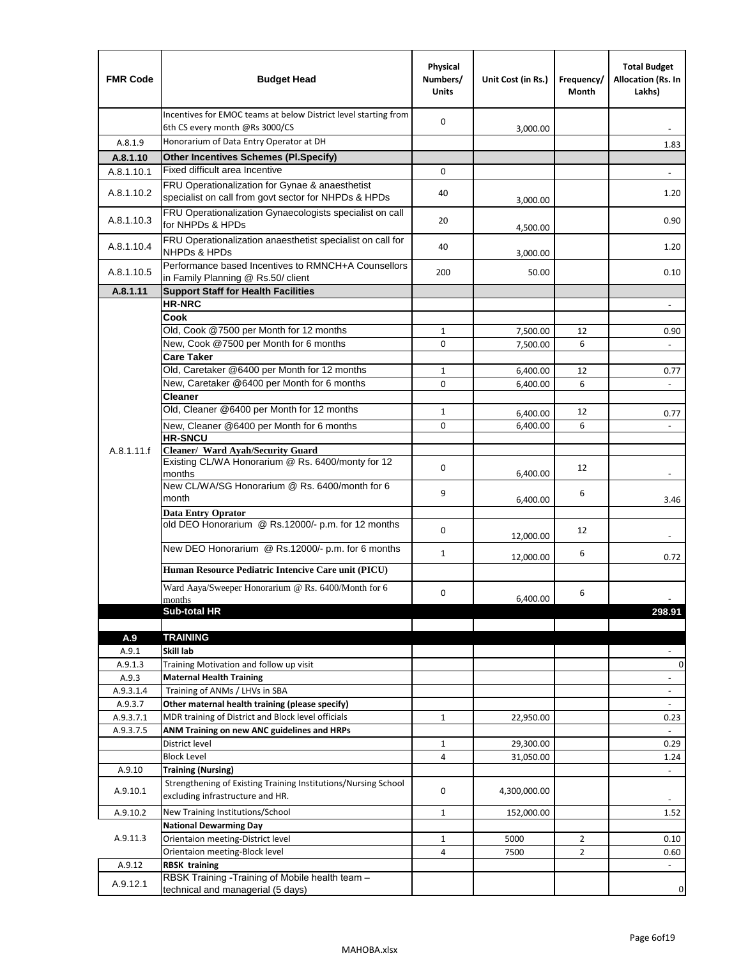| <b>FMR Code</b>  | <b>Budget Head</b>                                                                                      | Physical<br>Numbers/<br><b>Units</b> | Unit Cost (in Rs.)   | Frequency/<br>Month | <b>Total Budget</b><br>Allocation (Rs. In<br>Lakhs) |
|------------------|---------------------------------------------------------------------------------------------------------|--------------------------------------|----------------------|---------------------|-----------------------------------------------------|
|                  | Incentives for EMOC teams at below District level starting from<br>6th CS every month @Rs 3000/CS       | $\mathbf 0$                          | 3,000.00             |                     |                                                     |
| A.8.1.9          | Honorarium of Data Entry Operator at DH                                                                 |                                      |                      |                     | 1.83                                                |
| A.8.1.10         | <b>Other Incentives Schemes (PI.Specify)</b>                                                            |                                      |                      |                     |                                                     |
| A.8.1.10.1       | Fixed difficult area Incentive                                                                          | $\mathbf 0$                          |                      |                     |                                                     |
| A.8.1.10.2       | FRU Operationalization for Gynae & anaesthetist<br>specialist on call from govt sector for NHPDs & HPDs | 40                                   | 3,000.00             |                     | 1.20                                                |
| A.8.1.10.3       | FRU Operationalization Gynaecologists specialist on call<br>for NHPDs & HPDs                            | 20                                   | 4,500.00             |                     | 0.90                                                |
| A.8.1.10.4       | FRU Operationalization anaesthetist specialist on call for<br><b>NHPDs &amp; HPDs</b>                   | 40                                   | 3,000.00             |                     | 1.20                                                |
| A.8.1.10.5       | Performance based Incentives to RMNCH+A Counsellors<br>in Family Planning @ Rs.50/ client               | 200                                  | 50.00                |                     | 0.10                                                |
| A.8.1.11         | <b>Support Staff for Health Facilities</b>                                                              |                                      |                      |                     |                                                     |
|                  | <b>HR-NRC</b>                                                                                           |                                      |                      |                     | $\overline{\phantom{m}}$                            |
|                  | Cook                                                                                                    |                                      |                      |                     |                                                     |
|                  | Old, Cook @7500 per Month for 12 months                                                                 | $\mathbf{1}$                         | 7,500.00             | 12                  | 0.90                                                |
|                  | New, Cook @7500 per Month for 6 months                                                                  | 0                                    | 7,500.00             | 6                   | $\Box$                                              |
|                  | <b>Care Taker</b><br>Old, Caretaker @6400 per Month for 12 months                                       |                                      |                      |                     |                                                     |
|                  | New, Caretaker @6400 per Month for 6 months                                                             | $\mathbf{1}$<br>0                    | 6,400.00             | 12<br>6             | 0.77<br>÷,                                          |
|                  | <b>Cleaner</b>                                                                                          |                                      | 6,400.00             |                     |                                                     |
|                  | Old, Cleaner @6400 per Month for 12 months                                                              | $\mathbf{1}$                         |                      | 12                  |                                                     |
|                  | New, Cleaner @6400 per Month for 6 months                                                               | $\mathbf 0$                          | 6,400.00<br>6,400.00 | 6                   | 0.77                                                |
|                  | <b>HR-SNCU</b>                                                                                          |                                      |                      |                     |                                                     |
| A.8.1.11.f       | Cleaner/ Ward Ayah/Security Guard                                                                       |                                      |                      |                     |                                                     |
|                  | Existing CL/WA Honorarium @ Rs. 6400/monty for 12<br>months                                             | $\mathbf 0$                          | 6,400.00             | 12                  |                                                     |
|                  | New CL/WA/SG Honorarium @ Rs. 6400/month for 6<br>month                                                 | 9                                    | 6,400.00             | 6                   | 3.46                                                |
|                  | <b>Data Entry Oprator</b>                                                                               |                                      |                      |                     |                                                     |
|                  | old DEO Honorarium @ Rs.12000/- p.m. for 12 months                                                      | $\mathbf 0$                          | 12,000.00            | 12                  |                                                     |
|                  | New DEO Honorarium @ Rs.12000/- p.m. for 6 months                                                       | $\mathbf{1}$                         | 12,000.00            | 6                   | 0.72                                                |
|                  | Human Resource Pediatric Intencive Care unit (PICU)                                                     |                                      |                      |                     |                                                     |
|                  | Ward Aaya/Sweeper Honorarium @ Rs. 6400/Month for 6                                                     |                                      |                      |                     |                                                     |
|                  | months                                                                                                  | $\mathbf 0$                          | 6,400.00             | 6                   |                                                     |
|                  | Sub-total HR                                                                                            |                                      |                      |                     | 298.91                                              |
|                  |                                                                                                         |                                      |                      |                     |                                                     |
| A.9              | <b>TRAINING</b>                                                                                         |                                      |                      |                     |                                                     |
| A.9.1<br>A.9.1.3 | Skill lab<br>Training Motivation and follow up visit                                                    |                                      |                      |                     | 0                                                   |
| A.9.3            | <b>Maternal Health Training</b>                                                                         |                                      |                      |                     | $\blacksquare$                                      |
| A.9.3.1.4        | Training of ANMs / LHVs in SBA                                                                          |                                      |                      |                     | $\overline{\phantom{a}}$                            |
| A.9.3.7          | Other maternal health training (please specify)                                                         |                                      |                      |                     |                                                     |
| A.9.3.7.1        | MDR training of District and Block level officials                                                      | 1                                    | 22,950.00            |                     | 0.23                                                |
| A.9.3.7.5        | ANM Training on new ANC guidelines and HRPs                                                             |                                      |                      |                     |                                                     |
|                  | District level                                                                                          | 1                                    | 29,300.00            |                     | 0.29                                                |
|                  | <b>Block Level</b>                                                                                      | 4                                    | 31,050.00            |                     | 1.24                                                |
| A.9.10           | <b>Training (Nursing)</b>                                                                               |                                      |                      |                     | $\blacksquare$                                      |
| A.9.10.1         | Strengthening of Existing Training Institutions/Nursing School<br>excluding infrastructure and HR.      | 0                                    | 4,300,000.00         |                     |                                                     |
| A.9.10.2         | New Training Institutions/School                                                                        | $\mathbf{1}$                         | 152,000.00           |                     | 1.52                                                |
|                  | <b>National Dewarming Day</b>                                                                           |                                      |                      |                     |                                                     |
| A.9.11.3         | Orientaion meeting-District level                                                                       | $\mathbf 1$                          | 5000                 | $\overline{2}$      | 0.10                                                |
|                  | Orientaion meeting-Block level                                                                          | 4                                    | 7500                 | $\overline{2}$      | 0.60                                                |
| A.9.12           | <b>RBSK training</b>                                                                                    |                                      |                      |                     |                                                     |
| A.9.12.1         | RBSK Training -Training of Mobile health team -<br>technical and managerial (5 days)                    |                                      |                      |                     | 0                                                   |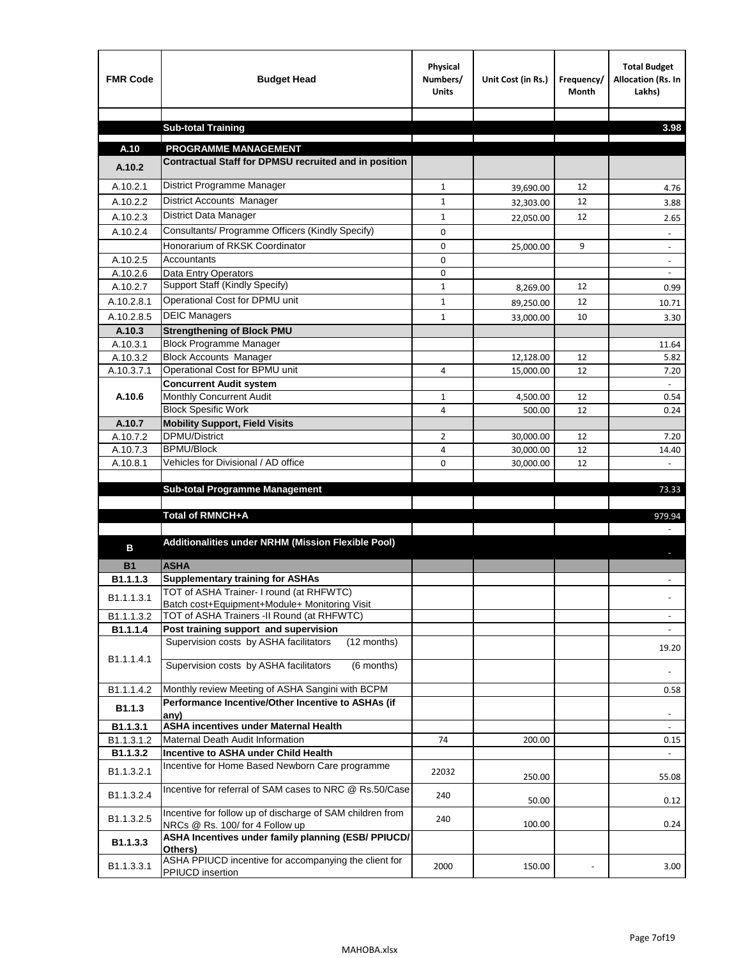| <b>FMR Code</b> | <b>Budget Head</b>                                                                           | Physical<br>Numbers/<br><b>Units</b> | Unit Cost (in Rs.) | Frequency/<br><b>Month</b> | <b>Total Budget</b><br>Allocation (Rs. In<br>Lakhs) |
|-----------------|----------------------------------------------------------------------------------------------|--------------------------------------|--------------------|----------------------------|-----------------------------------------------------|
|                 |                                                                                              |                                      |                    |                            |                                                     |
|                 | <b>Sub-total Training</b>                                                                    |                                      |                    |                            | 3.98                                                |
| A.10            | <b>PROGRAMME MANAGEMENT</b>                                                                  |                                      |                    |                            |                                                     |
| A.10.2          | Contractual Staff for DPMSU recruited and in position                                        |                                      |                    |                            |                                                     |
| A.10.2.1        | District Programme Manager                                                                   | $\mathbf{1}$                         | 39,690.00          | 12                         | 4.76                                                |
| A.10.2.2        | District Accounts Manager                                                                    | 1                                    | 32,303.00          | 12                         | 3.88                                                |
| A.10.2.3        | District Data Manager                                                                        | $\mathbf{1}$                         |                    | 12                         | 2.65                                                |
| A.10.2.4        | Consultants/ Programme Officers (Kindly Specify)                                             | $\mathbf 0$                          | 22,050.00          |                            |                                                     |
|                 | Honorarium of RKSK Coordinator                                                               | 0                                    | 25,000.00          | 9                          | $\overline{\phantom{a}}$                            |
| A.10.2.5        | Accountants                                                                                  | 0                                    |                    |                            |                                                     |
| A.10.2.6        | Data Entry Operators                                                                         | 0                                    |                    |                            | $\overline{\phantom{a}}$                            |
| A.10.2.7        | Support Staff (Kindly Specify)                                                               | $\mathbf{1}$                         | 8,269.00           | 12                         | 0.99                                                |
| A.10.2.8.1      | Operational Cost for DPMU unit                                                               | $\mathbf{1}$                         | 89,250.00          | 12                         | 10.71                                               |
| A.10.2.8.5      | <b>DEIC Managers</b>                                                                         | $\mathbf{1}$                         | 33,000.00          | 10                         | 3.30                                                |
| A.10.3          | <b>Strengthening of Block PMU</b>                                                            |                                      |                    |                            |                                                     |
| A.10.3.1        | <b>Block Programme Manager</b>                                                               |                                      |                    |                            | 11.64                                               |
| A.10.3.2        | <b>Block Accounts Manager</b>                                                                |                                      | 12,128.00          | 12                         | 5.82                                                |
| A.10.3.7.1      | Operational Cost for BPMU unit                                                               | 4                                    | 15,000.00          | 12                         | 7.20                                                |
| A.10.6          | <b>Concurrent Audit system</b><br>Monthly Concurrent Audit                                   | $\mathbf{1}$                         | 4,500.00           | 12                         | 0.54                                                |
|                 | <b>Block Spesific Work</b>                                                                   | 4                                    | 500.00             | 12                         | 0.24                                                |
| A.10.7          | <b>Mobility Support, Field Visits</b>                                                        |                                      |                    |                            |                                                     |
| A.10.7.2        | <b>DPMU/District</b>                                                                         | $\overline{2}$                       | 30,000.00          | 12                         | 7.20                                                |
| A.10.7.3        | <b>BPMU/Block</b>                                                                            | 4                                    | 30,000.00          | 12                         | 14.40                                               |
| A.10.8.1        | Vehicles for Divisional / AD office                                                          | 0                                    | 30,000.00          | 12                         |                                                     |
|                 |                                                                                              |                                      |                    |                            |                                                     |
|                 | <b>Sub-total Programme Management</b>                                                        |                                      |                    |                            | 73.33                                               |
|                 | Total of RMNCH+A                                                                             |                                      |                    |                            | 979.94                                              |
|                 |                                                                                              |                                      |                    |                            |                                                     |
| в               | Additionalities under NRHM (Mission Flexible Pool)                                           |                                      |                    |                            |                                                     |
|                 |                                                                                              |                                      |                    |                            |                                                     |
| <b>B1</b>       | <b>ASHA</b>                                                                                  |                                      |                    |                            |                                                     |
| B1.1.1.3        | <b>Supplementary training for ASHAs</b><br>TOT of ASHA Trainer- I round (at RHFWTC)          |                                      |                    |                            |                                                     |
| B1.1.1.3.1      | Batch cost+Equipment+Module+ Monitoring Visit                                                |                                      |                    |                            |                                                     |
| B1.1.1.3.2      | TOT of ASHA Trainers -II Round (at RHFWTC)                                                   |                                      |                    |                            |                                                     |
| B1.1.1.4        | Post training support and supervision                                                        |                                      |                    |                            | $\omega$                                            |
|                 | Supervision costs by ASHA facilitators<br>(12 months)                                        |                                      |                    |                            | 19.20                                               |
| B1.1.1.4.1      | Supervision costs by ASHA facilitators<br>(6 months)                                         |                                      |                    |                            |                                                     |
|                 |                                                                                              |                                      |                    |                            |                                                     |
| B1.1.1.4.2      | Monthly review Meeting of ASHA Sangini with BCPM                                             |                                      |                    |                            | 0.58                                                |
| B1.1.3          | Performance Incentive/Other Incentive to ASHAs (if                                           |                                      |                    |                            |                                                     |
| B1.1.3.1        | any)<br><b>ASHA incentives under Maternal Health</b>                                         |                                      |                    |                            |                                                     |
| B1.1.3.1.2      | Maternal Death Audit Information                                                             | 74                                   | 200.00             |                            | 0.15                                                |
| B1.1.3.2        | Incentive to ASHA under Child Health                                                         |                                      |                    |                            | ÷.                                                  |
| B1.1.3.2.1      | Incentive for Home Based Newborn Care programme                                              | 22032                                | 250.00             |                            | 55.08                                               |
| B1.1.3.2.4      | Incentive for referral of SAM cases to NRC @ Rs.50/Case                                      | 240                                  | 50.00              |                            | 0.12                                                |
| B1.1.3.2.5      | Incentive for follow up of discharge of SAM children from<br>NRCs @ Rs. 100/ for 4 Follow up | 240                                  | 100.00             |                            | 0.24                                                |
| B1.1.3.3        | ASHA Incentives under family planning (ESB/ PPIUCD/<br>Others)                               |                                      |                    |                            |                                                     |
| B1.1.3.3.1      | ASHA PPIUCD incentive for accompanying the client for<br>PPIUCD insertion                    | 2000                                 | 150.00             |                            | 3.00                                                |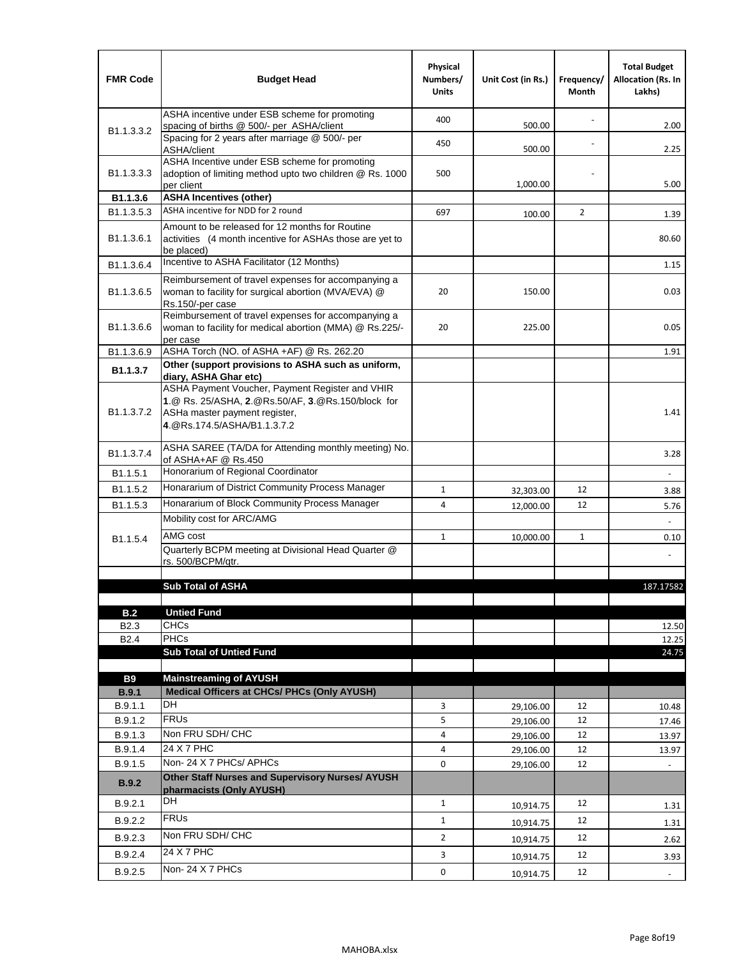| <b>FMR Code</b>            | <b>Budget Head</b>                                                                                                                                                    | Physical<br>Numbers/<br><b>Units</b> | Unit Cost (in Rs.) | Frequency/<br>Month | <b>Total Budget</b><br><b>Allocation (Rs. In</b><br>Lakhs) |
|----------------------------|-----------------------------------------------------------------------------------------------------------------------------------------------------------------------|--------------------------------------|--------------------|---------------------|------------------------------------------------------------|
|                            | ASHA incentive under ESB scheme for promoting<br>spacing of births @ 500/- per ASHA/client                                                                            | 400                                  | 500.00             |                     | 2.00                                                       |
| B <sub>1.1</sub> , 3, 3, 2 | Spacing for 2 years after marriage @ 500/- per<br>ASHA/client                                                                                                         | 450                                  | 500.00             |                     | 2.25                                                       |
| B1.1.3.3.3                 | ASHA Incentive under ESB scheme for promoting<br>adoption of limiting method upto two children @ Rs. 1000<br>per client                                               | 500                                  | 1,000.00           |                     | 5.00                                                       |
| B1.1.3.6                   | <b>ASHA Incentives (other)</b>                                                                                                                                        |                                      |                    |                     |                                                            |
| B <sub>1.1</sub> , 3, 5, 3 | ASHA incentive for NDD for 2 round                                                                                                                                    | 697                                  | 100.00             | $\overline{2}$      | 1.39                                                       |
| B <sub>1.1</sub> .3.6.1    | Amount to be released for 12 months for Routine<br>activities (4 month incentive for ASHAs those are yet to<br>be placed)                                             |                                      |                    |                     | 80.60                                                      |
| B1.1.3.6.4                 | Incentive to ASHA Facilitator (12 Months)                                                                                                                             |                                      |                    |                     | 1.15                                                       |
| B <sub>1.1</sub> .3.6.5    | Reimbursement of travel expenses for accompanying a<br>woman to facility for surgical abortion (MVA/EVA) @<br>Rs.150/-per case                                        | 20                                   | 150.00             |                     | 0.03                                                       |
| B <sub>1.1</sub> .3.6.6    | Reimbursement of travel expenses for accompanying a<br>woman to facility for medical abortion (MMA) @ Rs.225/-<br>per case                                            | 20                                   | 225.00             |                     | 0.05                                                       |
| B1.1.3.6.9                 | ASHA Torch (NO. of ASHA +AF) @ Rs. 262.20                                                                                                                             |                                      |                    |                     | 1.91                                                       |
| B1.1.3.7                   | Other (support provisions to ASHA such as uniform,<br>diary, ASHA Ghar etc)                                                                                           |                                      |                    |                     |                                                            |
| B <sub>1.1</sub> .3.7.2    | ASHA Payment Voucher, Payment Register and VHIR<br>1.@ Rs. 25/ASHA, 2.@Rs.50/AF, 3.@Rs.150/block for<br>ASHa master payment register,<br>4. @Rs.174.5/ASHA/B1.1.3.7.2 |                                      |                    |                     | 1.41                                                       |
| B <sub>1.1</sub> , 3.7.4   | ASHA SAREE (TA/DA for Attending monthly meeting) No.<br>of ASHA+AF @ Rs.450                                                                                           |                                      |                    |                     | 3.28                                                       |
| B1.1.5.1                   | Honorarium of Regional Coordinator                                                                                                                                    |                                      |                    |                     |                                                            |
| B <sub>1.1.5.2</sub>       | Honararium of District Community Process Manager                                                                                                                      | $\mathbf{1}$                         | 32,303.00          | 12                  | 3.88                                                       |
| B1.1.5.3                   | Honararium of Block Community Process Manager                                                                                                                         | 4                                    | 12,000.00          | 12                  | 5.76                                                       |
|                            | Mobility cost for ARC/AMG                                                                                                                                             |                                      |                    |                     |                                                            |
| B <sub>1.1.5.4</sub>       | AMG cost                                                                                                                                                              | $\mathbf{1}$                         | 10,000.00          | $\mathbf{1}$        | 0.10                                                       |
|                            | Quarterly BCPM meeting at Divisional Head Quarter @                                                                                                                   |                                      |                    |                     |                                                            |
|                            | rs. 500/BCPM/qtr.                                                                                                                                                     |                                      |                    |                     |                                                            |
|                            | <b>Sub Total of ASHA</b>                                                                                                                                              |                                      |                    |                     | 187.17582                                                  |
|                            |                                                                                                                                                                       |                                      |                    |                     |                                                            |
| B.2                        | <b>Untied Fund</b>                                                                                                                                                    |                                      |                    |                     |                                                            |
| B <sub>2.3</sub>           | <b>CHCs</b>                                                                                                                                                           |                                      |                    |                     | 12.50                                                      |
| B <sub>2.4</sub>           | <b>PHCs</b>                                                                                                                                                           |                                      |                    |                     | 12.25                                                      |
|                            | <b>Sub Total of Untied Fund</b>                                                                                                                                       |                                      |                    |                     | 24.75                                                      |
| <b>B9</b>                  | <b>Mainstreaming of AYUSH</b>                                                                                                                                         |                                      |                    |                     |                                                            |
| B.9.1                      | Medical Officers at CHCs/ PHCs (Only AYUSH)                                                                                                                           |                                      |                    |                     |                                                            |
| B.9.1.1                    | DH                                                                                                                                                                    | 3                                    | 29,106.00          | 12                  | 10.48                                                      |
| B.9.1.2                    | <b>FRUs</b>                                                                                                                                                           | 5                                    | 29,106.00          | 12                  | 17.46                                                      |
| B.9.1.3                    | Non FRU SDH/ CHC                                                                                                                                                      | 4                                    | 29,106.00          | 12                  | 13.97                                                      |
| B.9.1.4                    | 24 X 7 PHC                                                                                                                                                            | 4                                    | 29,106.00          | 12                  | 13.97                                                      |
| B.9.1.5                    | Non-24 X 7 PHCs/ APHCs                                                                                                                                                | 0                                    | 29,106.00          | 12                  |                                                            |
| B.9.2                      | Other Staff Nurses and Supervisory Nurses/ AYUSH<br>pharmacists (Only AYUSH)                                                                                          |                                      |                    |                     |                                                            |
| B.9.2.1                    | DH                                                                                                                                                                    | $\mathbf{1}$                         | 10,914.75          | 12                  | 1.31                                                       |
| B.9.2.2                    | <b>FRUs</b>                                                                                                                                                           | $\mathbf{1}$                         | 10,914.75          | 12                  | 1.31                                                       |
| B.9.2.3                    | Non FRU SDH/ CHC                                                                                                                                                      | $\overline{2}$                       | 10,914.75          | 12                  | 2.62                                                       |
| B.9.2.4                    | 24 X 7 PHC                                                                                                                                                            | 3                                    |                    | 12                  |                                                            |
|                            | Non-24 X 7 PHCs                                                                                                                                                       |                                      | 10,914.75          |                     | 3.93                                                       |
| B.9.2.5                    |                                                                                                                                                                       | 0                                    | 10,914.75          | 12                  | $\overline{\phantom{a}}$                                   |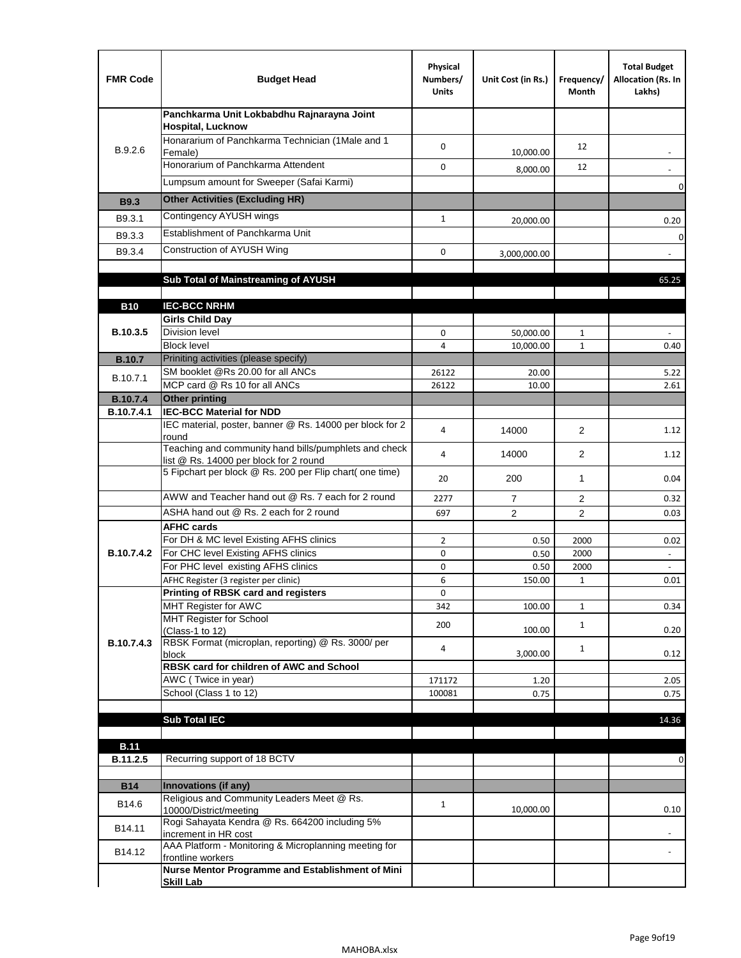| <b>FMR Code</b>   | <b>Budget Head</b>                                                                              | Physical<br>Numbers/<br><b>Units</b> | Unit Cost (in Rs.) | Frequency/<br>Month | <b>Total Budget</b><br>Allocation (Rs. In<br>Lakhs) |
|-------------------|-------------------------------------------------------------------------------------------------|--------------------------------------|--------------------|---------------------|-----------------------------------------------------|
|                   | Panchkarma Unit Lokbabdhu Rajnarayna Joint<br><b>Hospital, Lucknow</b>                          |                                      |                    |                     |                                                     |
| B.9.2.6           | Honararium of Panchkarma Technician (1Male and 1<br>Female)                                     | 0                                    | 10,000.00          | 12                  |                                                     |
|                   | Honorarium of Panchkarma Attendent                                                              | 0                                    | 8,000.00           | 12                  |                                                     |
|                   | Lumpsum amount for Sweeper (Safai Karmi)                                                        |                                      |                    |                     | 0                                                   |
| <b>B9.3</b>       | <b>Other Activities (Excluding HR)</b>                                                          |                                      |                    |                     |                                                     |
| B9.3.1            | Contingency AYUSH wings                                                                         | $\mathbf{1}$                         | 20,000.00          |                     | 0.20                                                |
| B9.3.3            | Establishment of Panchkarma Unit                                                                |                                      |                    |                     | $\mathbf 0$                                         |
| B9.3.4            | Construction of AYUSH Wing                                                                      | 0                                    | 3,000,000.00       |                     |                                                     |
|                   |                                                                                                 |                                      |                    |                     |                                                     |
|                   | Sub Total of Mainstreaming of AYUSH                                                             |                                      |                    |                     | 65.25                                               |
| <b>B10</b>        | <b>IEC-BCC NRHM</b>                                                                             |                                      |                    |                     |                                                     |
|                   | <b>Girls Child Day</b>                                                                          |                                      |                    |                     |                                                     |
| B.10.3.5          | <b>Division level</b>                                                                           | 0                                    | 50,000.00          | 1                   |                                                     |
|                   | <b>Block level</b>                                                                              | $\overline{4}$                       | 10,000.00          | $\mathbf{1}$        | 0.40                                                |
| <b>B.10.7</b>     | Priniting activities (please specify)                                                           |                                      |                    |                     |                                                     |
| B.10.7.1          | SM booklet @Rs 20.00 for all ANCs<br>MCP card @ Rs 10 for all ANCs                              | 26122<br>26122                       | 20.00<br>10.00     |                     | 5.22<br>2.61                                        |
| <b>B.10.7.4</b>   | <b>Other printing</b>                                                                           |                                      |                    |                     |                                                     |
| B.10.7.4.1        | <b>IEC-BCC Material for NDD</b>                                                                 |                                      |                    |                     |                                                     |
|                   | IEC material, poster, banner @ Rs. 14000 per block for 2<br>round                               | 4                                    | 14000              | $\overline{2}$      | 1.12                                                |
|                   | Teaching and community hand bills/pumphlets and check<br>list @ Rs. 14000 per block for 2 round | 4                                    | 14000              | 2                   | 1.12                                                |
|                   | 5 Fipchart per block @ Rs. 200 per Flip chart( one time)                                        | 20                                   | 200                | $\mathbf{1}$        | 0.04                                                |
|                   | AWW and Teacher hand out @ Rs. 7 each for 2 round                                               | 2277                                 | $\overline{7}$     | $\overline{2}$      | 0.32                                                |
|                   | ASHA hand out @ Rs. 2 each for 2 round                                                          | 697                                  | $\overline{2}$     | $\overline{2}$      | 0.03                                                |
|                   | <b>AFHC cards</b><br>For DH & MC level Existing AFHS clinics                                    |                                      |                    |                     |                                                     |
| <b>B.10.7.4.2</b> | For CHC level Existing AFHS clinics                                                             | $\overline{2}$<br>0                  | 0.50<br>0.50       | 2000<br>2000        | 0.02<br>$\overline{\phantom{a}}$                    |
|                   | For PHC level existing AFHS clinics                                                             | 0                                    | 0.50               | 2000                | $\bar{\phantom{a}}$                                 |
|                   | AFHC Register (3 register per clinic)                                                           | 6                                    | 150.00             | $\mathbf{1}$        | 0.01                                                |
|                   | Printing of RBSK card and registers                                                             | 0                                    |                    |                     |                                                     |
|                   | MHT Register for AWC<br>MHT Register for School                                                 | 342                                  | 100.00             | $\mathbf{1}$        | 0.34                                                |
|                   | (Class-1 to 12)                                                                                 | 200                                  | 100.00             | $\mathbf{1}$        | 0.20                                                |
| B.10.7.4.3        | RBSK Format (microplan, reporting) @ Rs. 3000/ per                                              | 4                                    |                    | $\mathbf{1}$        |                                                     |
|                   | block<br>RBSK card for children of AWC and School                                               |                                      | 3,000.00           |                     | 0.12                                                |
|                   | AWC (Twice in year)                                                                             | 171172                               | 1.20               |                     | 2.05                                                |
|                   | School (Class 1 to 12)                                                                          | 100081                               | 0.75               |                     | 0.75                                                |
|                   |                                                                                                 |                                      |                    |                     |                                                     |
|                   | <b>Sub Total IEC</b>                                                                            |                                      |                    |                     | 14.36                                               |
| <b>B.11</b>       |                                                                                                 |                                      |                    |                     |                                                     |
| B.11.2.5          | Recurring support of 18 BCTV                                                                    |                                      |                    |                     | 0                                                   |
|                   |                                                                                                 |                                      |                    |                     |                                                     |
| <b>B14</b>        | Innovations (if any)<br>Religious and Community Leaders Meet @ Rs.                              |                                      |                    |                     |                                                     |
| B14.6             | 10000/District/meeting                                                                          | $\mathbf{1}$                         | 10,000.00          |                     | 0.10                                                |
| B14.11            | Rogi Sahayata Kendra @ Rs. 664200 including 5%<br>increment in HR cost                          |                                      |                    |                     |                                                     |
| B14.12            | AAA Platform - Monitoring & Microplanning meeting for<br>frontline workers                      |                                      |                    |                     |                                                     |
|                   | Nurse Mentor Programme and Establishment of Mini                                                |                                      |                    |                     |                                                     |
|                   | <b>Skill Lab</b>                                                                                |                                      |                    |                     |                                                     |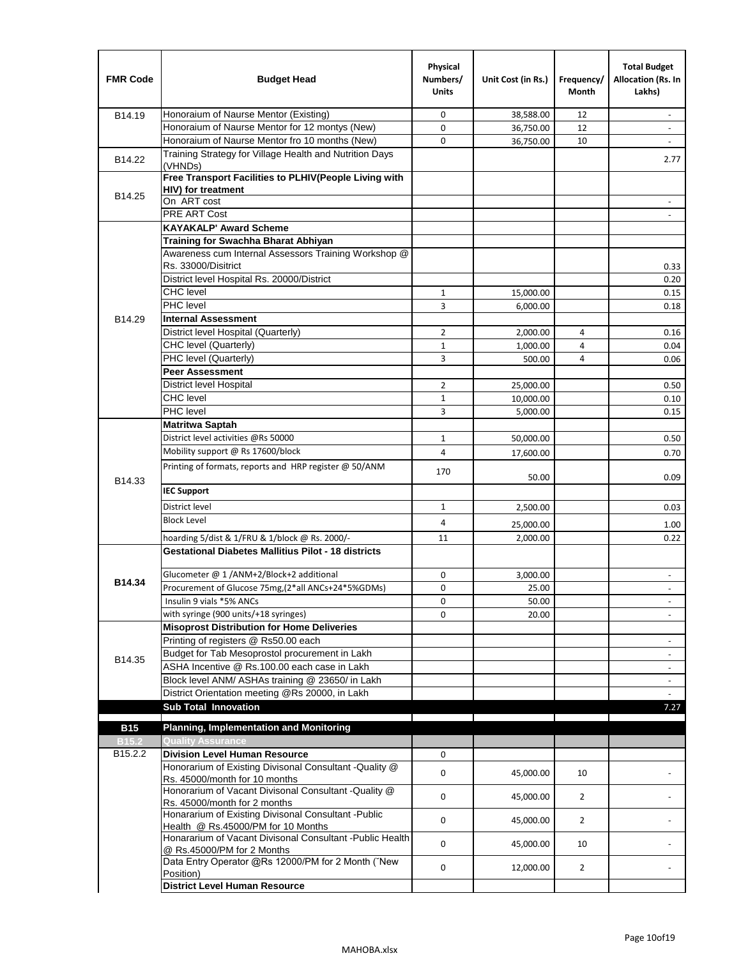| <b>FMR Code</b> | <b>Budget Head</b>                                                                         | Physical<br>Numbers/<br><b>Units</b> | Unit Cost (in Rs.) | Frequency/<br>Month | <b>Total Budget</b><br>Allocation (Rs. In<br>Lakhs) |
|-----------------|--------------------------------------------------------------------------------------------|--------------------------------------|--------------------|---------------------|-----------------------------------------------------|
| B14.19          | Honoraium of Naurse Mentor (Existing)                                                      | 0                                    | 38,588.00          | 12                  |                                                     |
|                 | Honoraium of Naurse Mentor for 12 montys (New)                                             | 0                                    | 36,750.00          | 12                  | $\overline{a}$                                      |
|                 | Honoraium of Naurse Mentor fro 10 months (New)                                             | 0                                    | 36,750.00          | 10                  | $\blacksquare$                                      |
| B14.22          | Training Strategy for Village Health and Nutrition Days<br>(VHNDs)                         |                                      |                    |                     | 2.77                                                |
|                 | Free Transport Facilities to PLHIV(People Living with                                      |                                      |                    |                     |                                                     |
| B14.25          | <b>HIV)</b> for treatment                                                                  |                                      |                    |                     |                                                     |
|                 | On ART cost                                                                                |                                      |                    |                     |                                                     |
|                 | <b>PRE ART Cost</b>                                                                        |                                      |                    |                     |                                                     |
|                 | <b>KAYAKALP' Award Scheme</b>                                                              |                                      |                    |                     |                                                     |
|                 | Training for Swachha Bharat Abhiyan                                                        |                                      |                    |                     |                                                     |
|                 | Awareness cum Internal Assessors Training Workshop @                                       |                                      |                    |                     |                                                     |
|                 | Rs. 33000/Disitrict                                                                        |                                      |                    |                     | 0.33                                                |
|                 | District level Hospital Rs. 20000/District                                                 |                                      |                    |                     | 0.20                                                |
|                 | <b>CHC</b> level                                                                           | $\mathbf{1}$                         | 15,000.00          |                     | 0.15                                                |
|                 | PHC level                                                                                  | 3                                    | 6,000.00           |                     | 0.18                                                |
| B14.29          | <b>Internal Assessment</b>                                                                 |                                      |                    |                     |                                                     |
|                 | District level Hospital (Quarterly)                                                        | $\overline{2}$                       | 2,000.00           | 4                   | 0.16                                                |
|                 | CHC level (Quarterly)                                                                      | $\mathbf{1}$                         | 1,000.00           | 4                   | 0.04                                                |
|                 | PHC level (Quarterly)                                                                      | 3                                    | 500.00             | 4                   | 0.06                                                |
|                 | <b>Peer Assessment</b>                                                                     |                                      |                    |                     |                                                     |
|                 | <b>District level Hospital</b>                                                             | $\overline{2}$                       | 25,000.00          |                     | 0.50                                                |
|                 | <b>CHC</b> level                                                                           | $\mathbf{1}$                         | 10,000.00          |                     | 0.10                                                |
|                 | PHC level                                                                                  | 3                                    | 5,000.00           |                     | 0.15                                                |
|                 | <b>Matritwa Saptah</b>                                                                     |                                      |                    |                     |                                                     |
|                 | District level activities @Rs 50000                                                        | $\mathbf{1}$                         | 50,000.00          |                     | 0.50                                                |
|                 | Mobility support @ Rs 17600/block                                                          | 4                                    | 17,600.00          |                     | 0.70                                                |
| B14.33          | Printing of formats, reports and HRP register @ 50/ANM                                     | 170                                  | 50.00              |                     | 0.09                                                |
|                 | <b>IEC Support</b>                                                                         |                                      |                    |                     |                                                     |
|                 | District level                                                                             | $\mathbf{1}$                         | 2,500.00           |                     | 0.03                                                |
|                 | <b>Block Level</b>                                                                         | 4                                    | 25,000.00          |                     | 1.00                                                |
|                 | hoarding 5/dist & 1/FRU & 1/block @ Rs. 2000/-                                             | 11                                   | 2,000.00           |                     | 0.22                                                |
|                 | <b>Gestational Diabetes Mallitius Pilot - 18 districts</b>                                 |                                      |                    |                     |                                                     |
|                 |                                                                                            |                                      |                    |                     |                                                     |
| B14.34          | Glucometer @ 1 /ANM+2/Block+2 additional                                                   | 0                                    | 3,000.00           |                     |                                                     |
|                 | Procurement of Glucose 75mg, (2*all ANCs+24*5%GDMs)                                        | $\mathbf 0$                          | 25.00              |                     |                                                     |
|                 | Insulin 9 vials *5% ANCs                                                                   | 0                                    | 50.00              |                     | $\overline{\phantom{a}}$                            |
|                 | with syringe (900 units/+18 syringes)                                                      | 0                                    | 20.00              |                     |                                                     |
|                 | <b>Misoprost Distribution for Home Deliveries</b>                                          |                                      |                    |                     |                                                     |
|                 | Printing of registers @ Rs50.00 each                                                       |                                      |                    |                     | $\overline{\phantom{a}}$                            |
| B14.35          | Budget for Tab Mesoprostol procurement in Lakh                                             |                                      |                    |                     | $\blacksquare$                                      |
|                 | ASHA Incentive @ Rs.100.00 each case in Lakh                                               |                                      |                    |                     | $\overline{\phantom{a}}$                            |
|                 | Block level ANM/ ASHAs training @ 23650/ in Lakh                                           |                                      |                    |                     |                                                     |
|                 | District Orientation meeting @Rs 20000, in Lakh<br><b>Sub Total Innovation</b>             |                                      |                    |                     | $\omega$<br>7.27                                    |
|                 |                                                                                            |                                      |                    |                     |                                                     |
| <b>B15</b>      | <b>Planning, Implementation and Monitoring</b>                                             |                                      |                    |                     |                                                     |
| <b>B15.2</b>    | <b>Quality Assurance</b>                                                                   |                                      |                    |                     |                                                     |
| B15.2.2         | <b>Division Level Human Resource</b>                                                       | 0                                    |                    |                     |                                                     |
|                 | Honorarium of Existing Divisonal Consultant -Quality @<br>Rs. 45000/month for 10 months    | $\mathbf 0$                          | 45,000.00          | 10                  |                                                     |
|                 | Honorarium of Vacant Divisonal Consultant - Quality @<br>Rs. 45000/month for 2 months      | $\mathbf 0$                          | 45,000.00          | $\overline{2}$      |                                                     |
|                 | Honararium of Existing Divisonal Consultant - Public<br>Health @ Rs.45000/PM for 10 Months | 0                                    | 45,000.00          | $\overline{2}$      |                                                     |
|                 | Honararium of Vacant Divisonal Consultant - Public Health<br>@ Rs.45000/PM for 2 Months    | $\mathbf 0$                          | 45,000.00          | 10                  |                                                     |
|                 | Data Entry Operator @Rs 12000/PM for 2 Month ("New<br>Position)                            | 0                                    | 12,000.00          | $\overline{2}$      |                                                     |
|                 | <b>District Level Human Resource</b>                                                       |                                      |                    |                     |                                                     |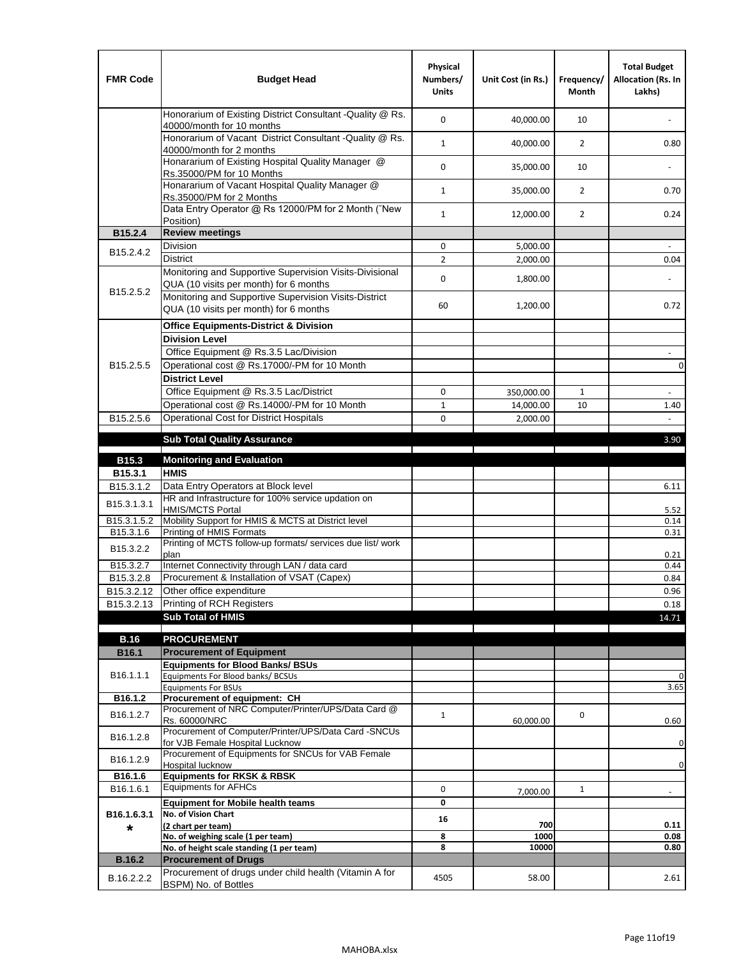| <b>FMR Code</b>         | <b>Budget Head</b>                                                                                | Physical<br>Numbers/<br><b>Units</b> | Unit Cost (in Rs.) | Frequency/<br><b>Month</b> | <b>Total Budget</b><br>Allocation (Rs. In<br>Lakhs) |
|-------------------------|---------------------------------------------------------------------------------------------------|--------------------------------------|--------------------|----------------------------|-----------------------------------------------------|
|                         | Honorarium of Existing District Consultant -Quality @ Rs.<br>40000/month for 10 months            | $\mathbf 0$                          | 40,000.00          | 10                         |                                                     |
|                         | Honorarium of Vacant District Consultant -Quality @ Rs.<br>40000/month for 2 months               | $\mathbf{1}$                         | 40,000.00          | $\overline{2}$             | 0.80                                                |
|                         | Honararium of Existing Hospital Quality Manager @<br>Rs.35000/PM for 10 Months                    | 0                                    | 35,000.00          | 10                         |                                                     |
|                         | Honararium of Vacant Hospital Quality Manager @<br>Rs.35000/PM for 2 Months                       | $\mathbf{1}$                         | 35,000.00          | $\overline{2}$             | 0.70                                                |
|                         | Data Entry Operator @ Rs 12000/PM for 2 Month ("New<br>Position)                                  | $\mathbf{1}$                         | 12,000.00          | $\overline{2}$             | 0.24                                                |
| B15.2.4                 | <b>Review meetings</b>                                                                            |                                      |                    |                            |                                                     |
| B <sub>15.2</sub> .4.2  | Division                                                                                          | 0                                    | 5,000.00           |                            |                                                     |
|                         | <b>District</b>                                                                                   | $\overline{2}$                       | 2,000.00           |                            | 0.04                                                |
| B15.2.5.2               | Monitoring and Supportive Supervision Visits-Divisional<br>QUA (10 visits per month) for 6 months | $\mathbf 0$                          | 1,800.00           |                            |                                                     |
|                         | Monitoring and Supportive Supervision Visits-District<br>QUA (10 visits per month) for 6 months   | 60                                   | 1,200.00           |                            | 0.72                                                |
|                         | <b>Office Equipments-District &amp; Division</b>                                                  |                                      |                    |                            |                                                     |
|                         | <b>Division Level</b>                                                                             |                                      |                    |                            |                                                     |
|                         | Office Equipment @ Rs.3.5 Lac/Division                                                            |                                      |                    |                            | $\sim$                                              |
| B15.2.5.5               | Operational cost @ Rs.17000/-PM for 10 Month                                                      |                                      |                    |                            | $\pmb{0}$                                           |
|                         | <b>District Level</b>                                                                             |                                      |                    |                            |                                                     |
|                         | Office Equipment @ Rs.3.5 Lac/District                                                            | 0                                    | 350,000.00         | 1                          | $\blacksquare$                                      |
|                         | Operational cost @ Rs.14000/-PM for 10 Month                                                      | $1\,$                                | 14,000.00          | 10                         | 1.40                                                |
| B15.2.5.6               | <b>Operational Cost for District Hospitals</b>                                                    | 0                                    | 2,000.00           |                            | $\mathbf{r}$                                        |
|                         | <b>Sub Total Quality Assurance</b>                                                                |                                      |                    |                            | 3.90                                                |
| B15.3                   | <b>Monitoring and Evaluation</b>                                                                  |                                      |                    |                            |                                                     |
| B15.3.1                 | <b>HMIS</b>                                                                                       |                                      |                    |                            |                                                     |
| B15.3.1.2               | Data Entry Operators at Block level                                                               |                                      |                    |                            | 6.11                                                |
| B15.3.1.3.1             | HR and Infrastructure for 100% service updation on<br><b>HMIS/MCTS Portal</b>                     |                                      |                    |                            | 5.52                                                |
| B <sub>15.3.1.5.2</sub> | Mobility Support for HMIS & MCTS at District level                                                |                                      |                    |                            | 0.14                                                |
| B15.3.1.6               | Printing of HMIS Formats<br>Printing of MCTS follow-up formats/ services due list/ work           |                                      |                    |                            | 0.31                                                |
| B15.3.2.2               | plan                                                                                              |                                      |                    |                            | 0.21                                                |
| B15.3.2.7               | Internet Connectivity through LAN / data card                                                     |                                      |                    |                            | 0.44                                                |
| B15.3.2.8               | Procurement & Installation of VSAT (Capex)                                                        |                                      |                    |                            | 0.84                                                |
| B15.3.2.12              | Other office expenditure                                                                          |                                      |                    |                            | 0.96                                                |
| B15.3.2.13              | Printing of RCH Registers                                                                         |                                      |                    |                            | 0.18                                                |
|                         | <b>Sub Total of HMIS</b>                                                                          |                                      |                    |                            | 14.71                                               |
| <b>B.16</b>             | <b>PROCUREMENT</b>                                                                                |                                      |                    |                            |                                                     |
| B16.1                   | <b>Procurement of Equipment</b>                                                                   |                                      |                    |                            |                                                     |
|                         | <b>Equipments for Blood Banks/ BSUs</b>                                                           |                                      |                    |                            |                                                     |
| B16.1.1.1               | Equipments For Blood banks/ BCSUs                                                                 |                                      |                    |                            | 0                                                   |
| B16.1.2                 | <b>Equipments For BSUs</b><br>Procurement of equipment: CH                                        |                                      |                    |                            | 3.65                                                |
|                         | Procurement of NRC Computer/Printer/UPS/Data Card @                                               |                                      |                    |                            |                                                     |
| B16.1.2.7               | Rs. 60000/NRC                                                                                     | $\mathbf{1}$                         | 60,000.00          | 0                          | 0.60                                                |
| B16.1.2.8               | Procurement of Computer/Printer/UPS/Data Card -SNCUs                                              |                                      |                    |                            |                                                     |
|                         | for VJB Female Hospital Lucknow<br>Procurement of Equipments for SNCUs for VAB Female             |                                      |                    |                            | 0                                                   |
| B16.1.2.9               | Hospital lucknow                                                                                  |                                      |                    |                            | 0                                                   |
| B16.1.6                 | <b>Equipments for RKSK &amp; RBSK</b>                                                             |                                      |                    |                            |                                                     |
| B16.1.6.1               | <b>Equipments for AFHCs</b>                                                                       | 0                                    | 7,000.00           | $\mathbf{1}$               | ÷,                                                  |
|                         | <b>Equipment for Mobile health teams</b>                                                          | 0                                    |                    |                            |                                                     |
| B16.1.6.3.1             | No. of Vision Chart<br>(2 chart per team)                                                         | 16                                   | 700                |                            | 0.11                                                |
| *                       | No. of weighing scale (1 per team)                                                                | 8                                    | 1000               |                            | 0.08                                                |
|                         | No. of height scale standing (1 per team)                                                         | 8                                    | 10000              |                            | 0.80                                                |
| <b>B.16.2</b>           | <b>Procurement of Drugs</b>                                                                       |                                      |                    |                            |                                                     |
| B.16.2.2.2              | Procurement of drugs under child health (Vitamin A for<br>BSPM) No. of Bottles                    | 4505                                 | 58.00              |                            | 2.61                                                |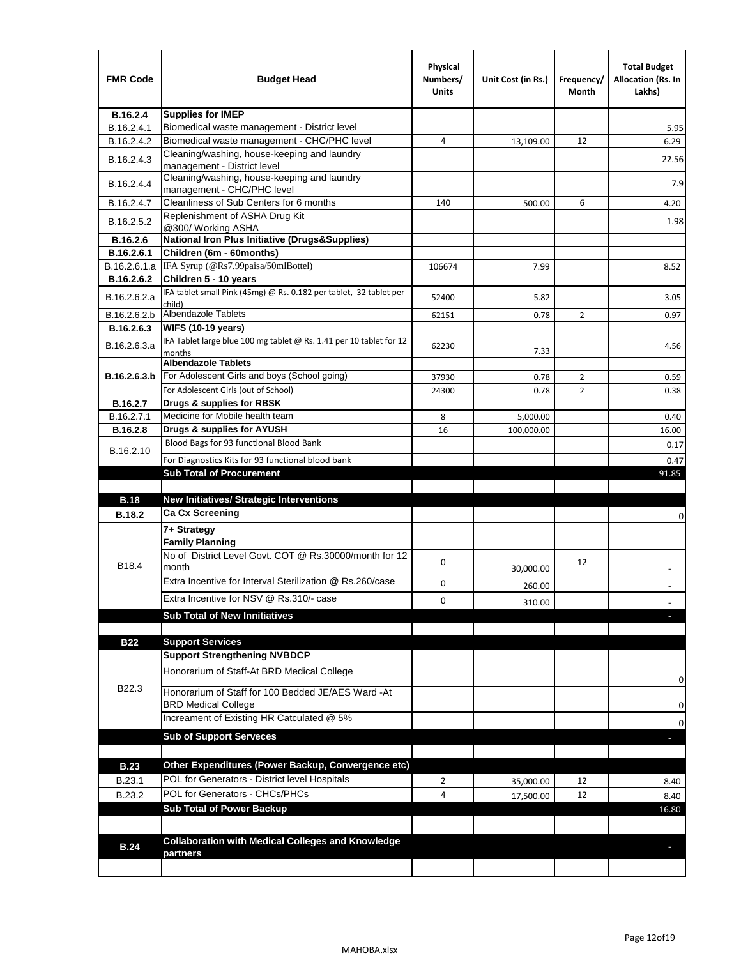| <b>FMR Code</b> | <b>Budget Head</b>                                                            | Physical<br>Numbers/<br>Units | Unit Cost (in Rs.) | Frequency/<br>Month | <b>Total Budget</b><br><b>Allocation (Rs. In</b><br>Lakhs) |
|-----------------|-------------------------------------------------------------------------------|-------------------------------|--------------------|---------------------|------------------------------------------------------------|
| B.16.2.4        | <b>Supplies for IMEP</b>                                                      |                               |                    |                     |                                                            |
| B.16.2.4.1      | Biomedical waste management - District level                                  |                               |                    |                     | 5.95                                                       |
| B.16.2.4.2      | Biomedical waste management - CHC/PHC level                                   | 4                             | 13,109.00          | 12                  | 6.29                                                       |
| B.16.2.4.3      | Cleaning/washing, house-keeping and laundry<br>management - District level    |                               |                    |                     | 22.56                                                      |
| B.16.2.4.4      | Cleaning/washing, house-keeping and laundry<br>management - CHC/PHC level     |                               |                    |                     | 7.9                                                        |
| B.16.2.4.7      | Cleanliness of Sub Centers for 6 months                                       | 140                           | 500.00             | 6                   | 4.20                                                       |
| B.16.2.5.2      | Replenishment of ASHA Drug Kit<br>@300/ Working ASHA                          |                               |                    |                     | 1.98                                                       |
| B.16.2.6        | <b>National Iron Plus Initiative (Drugs&amp;Supplies)</b>                     |                               |                    |                     |                                                            |
| B.16.2.6.1      | Children (6m - 60months)                                                      |                               |                    |                     |                                                            |
| B.16.2.6.1.a    | IFA Syrup (@Rs7.99paisa/50mlBottel)                                           | 106674                        | 7.99               |                     | 8.52                                                       |
| B.16.2.6.2      | Children 5 - 10 years                                                         |                               |                    |                     |                                                            |
| B.16.2.6.2.a    | IFA tablet small Pink (45mg) @ Rs. 0.182 per tablet, 32 tablet per<br>child)  | 52400                         | 5.82               |                     | 3.05                                                       |
| B.16.2.6.2.b    | <b>Albendazole Tablets</b>                                                    | 62151                         | 0.78               | 2                   | 0.97                                                       |
| B.16.2.6.3      | <b>WIFS (10-19 years)</b>                                                     |                               |                    |                     |                                                            |
| B.16.2.6.3.a    | IFA Tablet large blue 100 mg tablet @ Rs. 1.41 per 10 tablet for 12<br>months | 62230                         | 7.33               |                     | 4.56                                                       |
|                 | <b>Albendazole Tablets</b>                                                    |                               |                    |                     |                                                            |
| B.16.2.6.3.b    | For Adolescent Girls and boys (School going)                                  | 37930                         | 0.78               | $\overline{2}$      | 0.59                                                       |
|                 | For Adolescent Girls (out of School)                                          | 24300                         | 0.78               | $\overline{2}$      | 0.38                                                       |
| B.16.2.7        | Drugs & supplies for RBSK                                                     |                               |                    |                     |                                                            |
| B.16.2.7.1      | Medicine for Mobile health team                                               | 8                             | 5,000.00           |                     | 0.40                                                       |
| <b>B.16.2.8</b> | Drugs & supplies for AYUSH                                                    | 16                            | 100,000.00         |                     | 16.00                                                      |
| B.16.2.10       | Blood Bags for 93 functional Blood Bank                                       |                               |                    |                     | 0.17                                                       |
|                 | For Diagnostics Kits for 93 functional blood bank                             |                               |                    |                     | 0.47                                                       |
|                 | <b>Sub Total of Procurement</b>                                               |                               |                    |                     | 91.85                                                      |
| <b>B.18</b>     | <b>New Initiatives/ Strategic Interventions</b>                               |                               |                    |                     |                                                            |
|                 | <b>Ca Cx Screening</b>                                                        |                               |                    |                     |                                                            |
| <b>B.18.2</b>   |                                                                               |                               |                    |                     | 0                                                          |
|                 | 7+ Strategy<br><b>Family Planning</b>                                         |                               |                    |                     |                                                            |
| B18.4           | No of District Level Govt. COT @ Rs.30000/month for 12<br>month               | 0                             |                    | 12                  |                                                            |
|                 | Extra Incentive for Interval Sterilization @ Rs.260/case                      |                               | 30,000.00          |                     |                                                            |
|                 |                                                                               | 0                             | 260.00             |                     |                                                            |
|                 | Extra Incentive for NSV @ Rs.310/- case                                       | 0                             | 310.00             |                     |                                                            |
|                 | <b>Sub Total of New Innitiatives</b>                                          |                               |                    |                     |                                                            |
|                 |                                                                               |                               |                    |                     |                                                            |
| <b>B22</b>      | <b>Support Services</b><br><b>Support Strengthening NVBDCP</b>                |                               |                    |                     |                                                            |
|                 | Honorarium of Staff-At BRD Medical College                                    |                               |                    |                     |                                                            |
| B22.3           | Honorarium of Staff for 100 Bedded JE/AES Ward -At                            |                               |                    |                     | 0                                                          |
|                 | <b>BRD Medical College</b><br>Increament of Existing HR Catculated @ 5%       |                               |                    |                     | 0                                                          |
|                 | <b>Sub of Support Serveces</b>                                                |                               |                    |                     | 0                                                          |
|                 |                                                                               |                               |                    |                     |                                                            |
| <b>B.23</b>     | Other Expenditures (Power Backup, Convergence etc)                            |                               |                    |                     |                                                            |
|                 | POL for Generators - District level Hospitals                                 |                               |                    |                     |                                                            |
| B.23.1          | POL for Generators - CHCs/PHCs                                                | $\overline{2}$                | 35,000.00          | 12                  | 8.40                                                       |
| B.23.2          | <b>Sub Total of Power Backup</b>                                              | 4                             | 17,500.00          | 12                  | 8.40                                                       |
|                 |                                                                               |                               |                    |                     | 16.80                                                      |
|                 | <b>Collaboration with Medical Colleges and Knowledge</b>                      |                               |                    |                     |                                                            |
| <b>B.24</b>     | partners                                                                      |                               |                    |                     |                                                            |
|                 |                                                                               |                               |                    |                     |                                                            |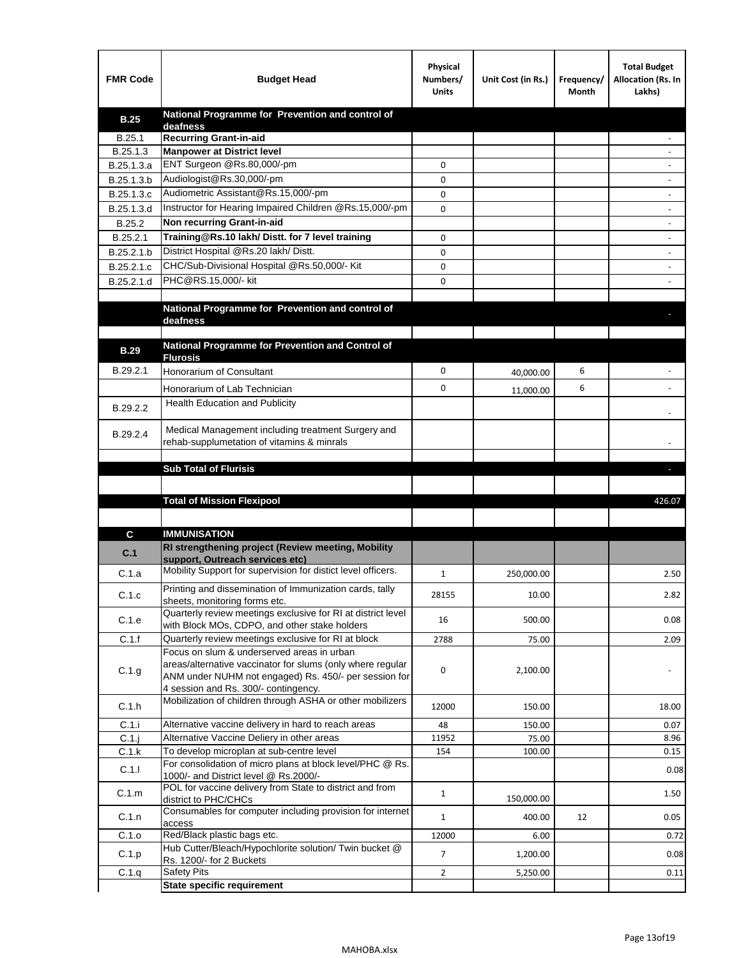| <b>FMR Code</b> | <b>Budget Head</b>                                                                                            | Physical<br>Numbers/<br><b>Units</b> | Unit Cost (in Rs.) | Frequency/<br>Month | <b>Total Budget</b><br>Allocation (Rs. In<br>Lakhs) |
|-----------------|---------------------------------------------------------------------------------------------------------------|--------------------------------------|--------------------|---------------------|-----------------------------------------------------|
| <b>B.25</b>     | National Programme for Prevention and control of                                                              |                                      |                    |                     |                                                     |
| B.25.1          | deafness<br><b>Recurring Grant-in-aid</b>                                                                     |                                      |                    |                     |                                                     |
| B.25.1.3        | <b>Manpower at District level</b>                                                                             |                                      |                    |                     |                                                     |
| B.25.1.3.a      | ENT Surgeon @Rs.80,000/-pm                                                                                    | 0                                    |                    |                     |                                                     |
| B.25.1.3.b      | Audiologist@Rs.30,000/-pm                                                                                     | 0                                    |                    |                     |                                                     |
| B.25.1.3.c      | Audiometric Assistant@Rs.15,000/-pm                                                                           | 0                                    |                    |                     |                                                     |
| B.25.1.3.d      | Instructor for Hearing Impaired Children @Rs.15,000/-pm                                                       | 0                                    |                    |                     |                                                     |
| B.25.2          | Non recurring Grant-in-aid                                                                                    |                                      |                    |                     |                                                     |
| B.25.2.1        | Training@Rs.10 lakh/ Distt. for 7 level training                                                              | 0                                    |                    |                     |                                                     |
| B.25.2.1.b      | District Hospital @Rs.20 lakh/Distt.                                                                          | 0                                    |                    |                     |                                                     |
| B.25.2.1.c      | CHC/Sub-Divisional Hospital @Rs.50,000/- Kit                                                                  | 0                                    |                    |                     |                                                     |
| B.25.2.1.d      | PHC@RS.15,000/- kit                                                                                           | 0                                    |                    |                     |                                                     |
|                 |                                                                                                               |                                      |                    |                     |                                                     |
|                 | National Programme for Prevention and control of<br>deafness                                                  |                                      |                    |                     |                                                     |
|                 |                                                                                                               |                                      |                    |                     |                                                     |
| <b>B.29</b>     | National Programme for Prevention and Control of                                                              |                                      |                    |                     |                                                     |
|                 | <b>Flurosis</b>                                                                                               |                                      |                    |                     |                                                     |
| B.29.2.1        | Honorarium of Consultant                                                                                      | 0                                    | 40,000.00          | 6                   |                                                     |
|                 | Honorarium of Lab Technician                                                                                  | 0                                    | 11,000.00          | 6                   |                                                     |
| B.29.2.2        | Health Education and Publicity                                                                                |                                      |                    |                     |                                                     |
|                 |                                                                                                               |                                      |                    |                     |                                                     |
| B.29.2.4        | Medical Management including treatment Surgery and<br>rehab-supplumetation of vitamins & minrals              |                                      |                    |                     |                                                     |
|                 |                                                                                                               |                                      |                    |                     |                                                     |
|                 | <b>Sub Total of Flurisis</b>                                                                                  |                                      |                    |                     | н                                                   |
|                 |                                                                                                               |                                      |                    |                     |                                                     |
|                 | <b>Total of Mission Flexipool</b>                                                                             |                                      |                    |                     | 426.07                                              |
|                 |                                                                                                               |                                      |                    |                     |                                                     |
| C               | <b>IMMUNISATION</b>                                                                                           |                                      |                    |                     |                                                     |
|                 | RI strengthening project (Review meeting, Mobility                                                            |                                      |                    |                     |                                                     |
| C.1             | support, Outreach services etc)                                                                               |                                      |                    |                     |                                                     |
| C.1.a           | Mobility Support for supervision for distict level officers.                                                  | 1                                    | 250,000.00         |                     | 2.50                                                |
| C.1.c           | Printing and dissemination of Immunization cards, tally                                                       | 28155                                | 10.00              |                     | 2.82                                                |
|                 | sheets, monitoring forms etc.                                                                                 |                                      |                    |                     |                                                     |
| C.1.e           | Quarterly review meetings exclusive for RI at district level<br>with Block MOs, CDPO, and other stake holders | 16                                   | 500.00             |                     | 0.08                                                |
| C.1.f           | Quarterly review meetings exclusive for RI at block                                                           | 2788                                 | 75.00              |                     | 2.09                                                |
|                 | Focus on slum & underserved areas in urban                                                                    |                                      |                    |                     |                                                     |
| C.1.g           | areas/alternative vaccinator for slums (only where regular                                                    | 0                                    | 2,100.00           |                     |                                                     |
|                 | ANM under NUHM not engaged) Rs. 450/- per session for                                                         |                                      |                    |                     |                                                     |
|                 | 4 session and Rs. 300/- contingency.<br>Mobilization of children through ASHA or other mobilizers             |                                      |                    |                     |                                                     |
| C.1.h           |                                                                                                               | 12000                                | 150.00             |                     | 18.00                                               |
| C.1.i           | Alternative vaccine delivery in hard to reach areas                                                           | 48                                   | 150.00             |                     | 0.07                                                |
| $C.1$ .j        | Alternative Vaccine Deliery in other areas                                                                    | 11952                                | 75.00              |                     | 8.96                                                |
| C.1.k           | To develop microplan at sub-centre level                                                                      | 154                                  | 100.00             |                     | 0.15                                                |
| C.1.1           | For consolidation of micro plans at block level/PHC @ Rs.<br>1000/- and District level @ Rs.2000/-            |                                      |                    |                     | 0.08                                                |
| C.1.m           | POL for vaccine delivery from State to district and from                                                      | $\mathbf{1}$                         |                    |                     | 1.50                                                |
|                 | district to PHC/CHCs                                                                                          |                                      | 150,000.00         |                     |                                                     |
| C.1.n           | Consumables for computer including provision for internet<br>access                                           | $\mathbf{1}$                         | 400.00             | 12                  | 0.05                                                |
| C.1.o           | Red/Black plastic bags etc.                                                                                   | 12000                                | 6.00               |                     | 0.72                                                |
| C.1.p           | Hub Cutter/Bleach/Hypochlorite solution/ Twin bucket @                                                        | 7                                    | 1,200.00           |                     | 0.08                                                |
|                 | Rs. 1200/- for 2 Buckets                                                                                      |                                      |                    |                     |                                                     |
|                 |                                                                                                               |                                      |                    |                     |                                                     |
| C.1.q           | <b>Safety Pits</b><br><b>State specific requirement</b>                                                       | $\mathbf{2}$                         | 5,250.00           |                     | 0.11                                                |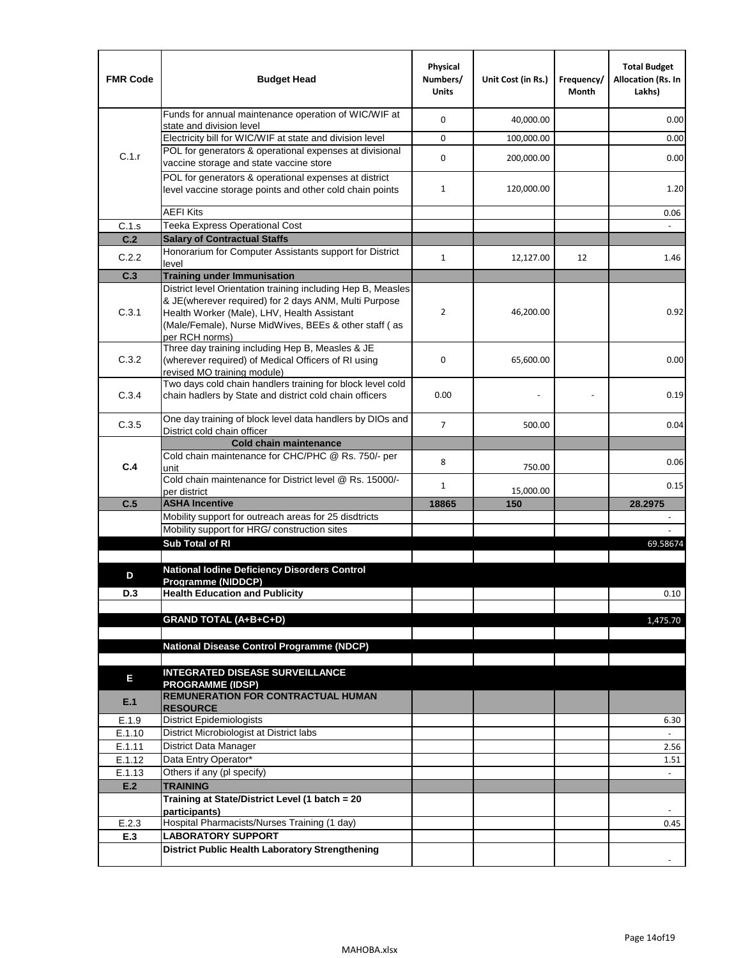| <b>FMR Code</b> | <b>Budget Head</b>                                                                                                                                                              | Physical<br>Numbers/<br><b>Units</b> | Unit Cost (in Rs.) | Frequency/<br>Month | <b>Total Budget</b><br><b>Allocation (Rs. In</b><br>Lakhs) |
|-----------------|---------------------------------------------------------------------------------------------------------------------------------------------------------------------------------|--------------------------------------|--------------------|---------------------|------------------------------------------------------------|
|                 | Funds for annual maintenance operation of WIC/WIF at<br>state and division level                                                                                                | $\mathbf 0$                          | 40,000.00          |                     | 0.00                                                       |
|                 | Electricity bill for WIC/WIF at state and division level                                                                                                                        | $\mathbf 0$                          | 100,000.00         |                     | 0.00                                                       |
| C.1.r           | POL for generators & operational expenses at divisional                                                                                                                         | $\mathbf 0$                          | 200,000.00         |                     | 0.00                                                       |
|                 | vaccine storage and state vaccine store<br>POL for generators & operational expenses at district                                                                                |                                      |                    |                     |                                                            |
|                 | level vaccine storage points and other cold chain points                                                                                                                        | $\mathbf{1}$                         | 120,000.00         |                     | 1.20                                                       |
|                 | <b>AEFI Kits</b>                                                                                                                                                                |                                      |                    |                     | 0.06                                                       |
| C.1.s           | Teeka Express Operational Cost                                                                                                                                                  |                                      |                    |                     |                                                            |
| C.2             | <b>Salary of Contractual Staffs</b>                                                                                                                                             |                                      |                    |                     |                                                            |
| C.2.2           | Honorarium for Computer Assistants support for District<br>level                                                                                                                | 1                                    | 12,127.00          | 12                  | 1.46                                                       |
| C.3             | <b>Training under Immunisation</b>                                                                                                                                              |                                      |                    |                     |                                                            |
|                 | District level Orientation training including Hep B, Measles                                                                                                                    |                                      |                    |                     |                                                            |
| C.3.1           | & JE(wherever required) for 2 days ANM, Multi Purpose<br>Health Worker (Male), LHV, Health Assistant<br>(Male/Female), Nurse MidWives, BEEs & other staff (as<br>per RCH norms) | $\overline{2}$                       | 46,200.00          |                     | 0.92                                                       |
| C.3.2           | Three day training including Hep B, Measles & JE<br>(wherever required) of Medical Officers of RI using<br>revised MO training module)                                          | $\mathbf 0$                          | 65,600.00          |                     | 0.00                                                       |
| C.3.4           | Two days cold chain handlers training for block level cold<br>chain hadlers by State and district cold chain officers                                                           | 0.00                                 |                    |                     | 0.19                                                       |
| C.3.5           | One day training of block level data handlers by DIOs and<br>District cold chain officer                                                                                        | $\overline{7}$                       | 500.00             |                     | 0.04                                                       |
|                 | <b>Cold chain maintenance</b>                                                                                                                                                   |                                      |                    |                     |                                                            |
|                 | Cold chain maintenance for CHC/PHC @ Rs. 750/- per                                                                                                                              | 8                                    |                    |                     | 0.06                                                       |
| C.4             | unit<br>Cold chain maintenance for District level @ Rs. 15000/-                                                                                                                 |                                      | 750.00             |                     |                                                            |
|                 | per district                                                                                                                                                                    | $\mathbf{1}$                         | 15,000.00          |                     | 0.15                                                       |
| C.5             | <b>ASHA Incentive</b>                                                                                                                                                           | 18865                                | 150                |                     | 28.2975                                                    |
|                 | Mobility support for outreach areas for 25 disdtricts                                                                                                                           |                                      |                    |                     |                                                            |
|                 | Mobility support for HRG/ construction sites                                                                                                                                    |                                      |                    |                     |                                                            |
|                 | Sub Total of RI                                                                                                                                                                 |                                      |                    |                     | 69.58674                                                   |
|                 | <b>National Iodine Deficiency Disorders Control</b>                                                                                                                             |                                      |                    |                     |                                                            |
| D               | Programme (NIDDCP)                                                                                                                                                              |                                      |                    |                     |                                                            |
| D.3             | <b>Health Education and Publicity</b>                                                                                                                                           |                                      |                    |                     | 0.10                                                       |
|                 |                                                                                                                                                                                 |                                      |                    |                     |                                                            |
|                 | <b>GRAND TOTAL (A+B+C+D)</b>                                                                                                                                                    |                                      |                    |                     | 1,475.70                                                   |
|                 | <b>National Disease Control Programme (NDCP)</b>                                                                                                                                |                                      |                    |                     |                                                            |
|                 |                                                                                                                                                                                 |                                      |                    |                     |                                                            |
|                 | <b>INTEGRATED DISEASE SURVEILLANCE</b>                                                                                                                                          |                                      |                    |                     |                                                            |
| Ε               | <b>PROGRAMME (IDSP)</b>                                                                                                                                                         |                                      |                    |                     |                                                            |
| E.1             | <b>REMUNERATION FOR CONTRACTUAL HUMAN</b><br><b>RESOURCE</b>                                                                                                                    |                                      |                    |                     |                                                            |
| E.1.9           | District Epidemiologists                                                                                                                                                        |                                      |                    |                     | 6.30                                                       |
| E.1.10          | District Microbiologist at District labs                                                                                                                                        |                                      |                    |                     | $\overline{a}$                                             |
| E.1.11          | District Data Manager                                                                                                                                                           |                                      |                    |                     | 2.56                                                       |
| E.1.12          | Data Entry Operator*                                                                                                                                                            |                                      |                    |                     | 1.51                                                       |
| E.1.13          | Others if any (pl specify)                                                                                                                                                      |                                      |                    |                     | $\omega$                                                   |
| E.2             | <b>TRAINING</b>                                                                                                                                                                 |                                      |                    |                     |                                                            |
|                 | Training at State/District Level (1 batch = 20<br>participants)                                                                                                                 |                                      |                    |                     |                                                            |
| E.2.3           | Hospital Pharmacists/Nurses Training (1 day)                                                                                                                                    |                                      |                    |                     | 0.45                                                       |
| E.3             | <b>LABORATORY SUPPORT</b>                                                                                                                                                       |                                      |                    |                     |                                                            |
|                 | <b>District Public Health Laboratory Strengthening</b>                                                                                                                          |                                      |                    |                     |                                                            |
|                 |                                                                                                                                                                                 |                                      |                    |                     |                                                            |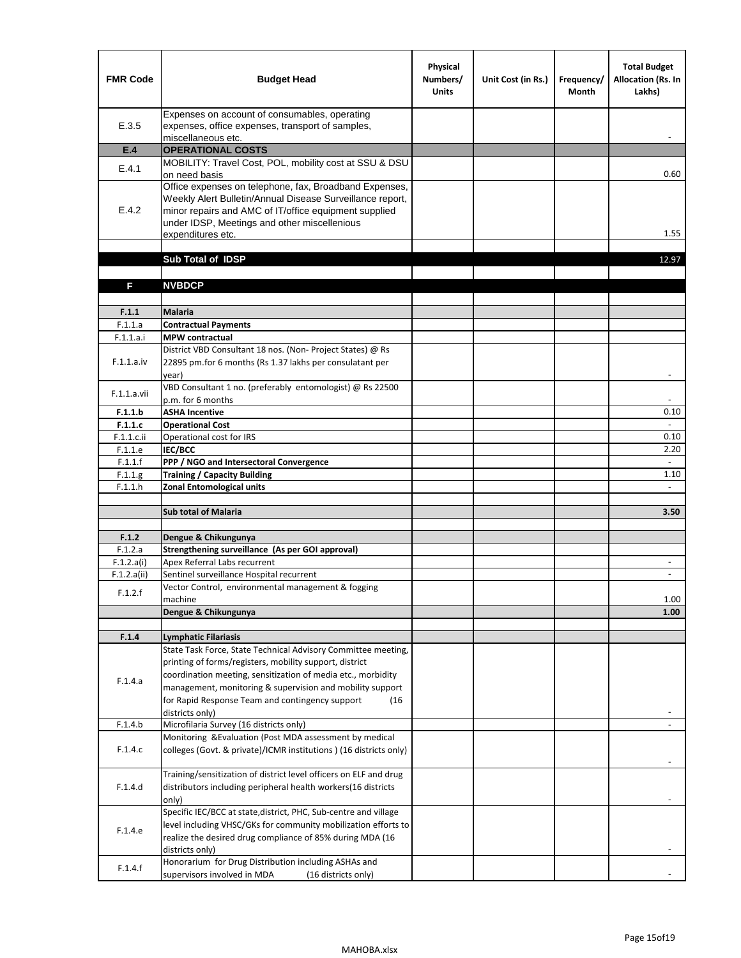| <b>FMR Code</b>    | <b>Budget Head</b>                                                                                                                                                                                                                                | Physical<br>Numbers/<br><b>Units</b> | Unit Cost (in Rs.) | Frequency/<br><b>Month</b> | <b>Total Budget</b><br>Allocation (Rs. In<br>Lakhs) |
|--------------------|---------------------------------------------------------------------------------------------------------------------------------------------------------------------------------------------------------------------------------------------------|--------------------------------------|--------------------|----------------------------|-----------------------------------------------------|
| E.3.5              | Expenses on account of consumables, operating<br>expenses, office expenses, transport of samples,<br>miscellaneous etc.                                                                                                                           |                                      |                    |                            |                                                     |
| E.4                | <b>OPERATIONAL COSTS</b>                                                                                                                                                                                                                          |                                      |                    |                            |                                                     |
| E.4.1              | MOBILITY: Travel Cost, POL, mobility cost at SSU & DSU<br>on need basis                                                                                                                                                                           |                                      |                    |                            | 0.60                                                |
| E.4.2              | Office expenses on telephone, fax, Broadband Expenses,<br>Weekly Alert Bulletin/Annual Disease Surveillance report,<br>minor repairs and AMC of IT/office equipment supplied<br>under IDSP, Meetings and other miscellenious<br>expenditures etc. |                                      |                    |                            | 1.55                                                |
|                    | Sub Total of IDSP                                                                                                                                                                                                                                 |                                      |                    |                            | 12.97                                               |
|                    |                                                                                                                                                                                                                                                   |                                      |                    |                            |                                                     |
| F                  | <b>NVBDCP</b>                                                                                                                                                                                                                                     |                                      |                    |                            |                                                     |
| F.1.1              | Malaria                                                                                                                                                                                                                                           |                                      |                    |                            |                                                     |
| F.1.1.a            | <b>Contractual Payments</b>                                                                                                                                                                                                                       |                                      |                    |                            |                                                     |
| F.1.1.a.i          | <b>MPW</b> contractual                                                                                                                                                                                                                            |                                      |                    |                            |                                                     |
| F.1.1.a.iv         | District VBD Consultant 18 nos. (Non-Project States) @ Rs<br>22895 pm.for 6 months (Rs 1.37 lakhs per consulatant per<br>year)                                                                                                                    |                                      |                    |                            | $\blacksquare$                                      |
| F.1.1.a.vii        | VBD Consultant 1 no. (preferably entomologist) @ Rs 22500<br>p.m. for 6 months                                                                                                                                                                    |                                      |                    |                            |                                                     |
| F.1.1.b            | <b>ASHA Incentive</b>                                                                                                                                                                                                                             |                                      |                    |                            | 0.10                                                |
| F.1.1.c            | <b>Operational Cost</b>                                                                                                                                                                                                                           |                                      |                    |                            | $\blacksquare$                                      |
| F.1.1.c.ii         | Operational cost for IRS                                                                                                                                                                                                                          |                                      |                    |                            | 0.10                                                |
| F.1.1.e            | IEC/BCC                                                                                                                                                                                                                                           |                                      |                    |                            | 2.20                                                |
| F.1.1.f            | PPP / NGO and Intersectoral Convergence                                                                                                                                                                                                           |                                      |                    |                            | $\omega$<br>1.10                                    |
| F.1.1.g<br>F.1.1.h | <b>Training / Capacity Building</b><br><b>Zonal Entomological units</b>                                                                                                                                                                           |                                      |                    |                            |                                                     |
|                    |                                                                                                                                                                                                                                                   |                                      |                    |                            |                                                     |
|                    | <b>Sub total of Malaria</b>                                                                                                                                                                                                                       |                                      |                    |                            | 3.50                                                |
|                    |                                                                                                                                                                                                                                                   |                                      |                    |                            |                                                     |
| F.1.2              | Dengue & Chikungunya                                                                                                                                                                                                                              |                                      |                    |                            |                                                     |
| F.1.2.a            | Strengthening surveillance (As per GOI approval)                                                                                                                                                                                                  |                                      |                    |                            |                                                     |
| F.1.2.a(i)         | Apex Referral Labs recurrent                                                                                                                                                                                                                      |                                      |                    |                            | $\overline{\phantom{a}}$                            |
| F.1.2.a(ii)        | Sentinel surveillance Hospital recurrent<br>Vector Control, environmental management & fogging                                                                                                                                                    |                                      |                    |                            |                                                     |
| F.1.2.f            | machine                                                                                                                                                                                                                                           |                                      |                    |                            | 1.00                                                |
|                    | Dengue & Chikungunya                                                                                                                                                                                                                              |                                      |                    |                            | 1.00                                                |
|                    |                                                                                                                                                                                                                                                   |                                      |                    |                            |                                                     |
| F.1.4              | <b>Lymphatic Filariasis</b>                                                                                                                                                                                                                       |                                      |                    |                            |                                                     |
|                    | State Task Force, State Technical Advisory Committee meeting,                                                                                                                                                                                     |                                      |                    |                            |                                                     |
|                    | printing of forms/registers, mobility support, district                                                                                                                                                                                           |                                      |                    |                            |                                                     |
| F.1.4.a            | coordination meeting, sensitization of media etc., morbidity<br>management, monitoring & supervision and mobility support                                                                                                                         |                                      |                    |                            |                                                     |
|                    | for Rapid Response Team and contingency support<br>(16)                                                                                                                                                                                           |                                      |                    |                            |                                                     |
|                    | districts only)                                                                                                                                                                                                                                   |                                      |                    |                            |                                                     |
| F.1.4.b            | Microfilaria Survey (16 districts only)                                                                                                                                                                                                           |                                      |                    |                            |                                                     |
|                    | Monitoring & Evaluation (Post MDA assessment by medical                                                                                                                                                                                           |                                      |                    |                            |                                                     |
| F.1.4.c            | colleges (Govt. & private)/ICMR institutions ) (16 districts only)                                                                                                                                                                                |                                      |                    |                            |                                                     |
|                    | Training/sensitization of district level officers on ELF and drug                                                                                                                                                                                 |                                      |                    |                            |                                                     |
| F.1.4.d            | distributors including peripheral health workers(16 districts                                                                                                                                                                                     |                                      |                    |                            |                                                     |
|                    | only)                                                                                                                                                                                                                                             |                                      |                    |                            |                                                     |
|                    | Specific IEC/BCC at state, district, PHC, Sub-centre and village                                                                                                                                                                                  |                                      |                    |                            |                                                     |
| F.1.4.e            | level including VHSC/GKs for community mobilization efforts to<br>realize the desired drug compliance of 85% during MDA (16                                                                                                                       |                                      |                    |                            |                                                     |
|                    | districts only)                                                                                                                                                                                                                                   |                                      |                    |                            |                                                     |
|                    | Honorarium for Drug Distribution including ASHAs and                                                                                                                                                                                              |                                      |                    |                            |                                                     |
| F.1.4.f            | supervisors involved in MDA<br>(16 districts only)                                                                                                                                                                                                |                                      |                    |                            |                                                     |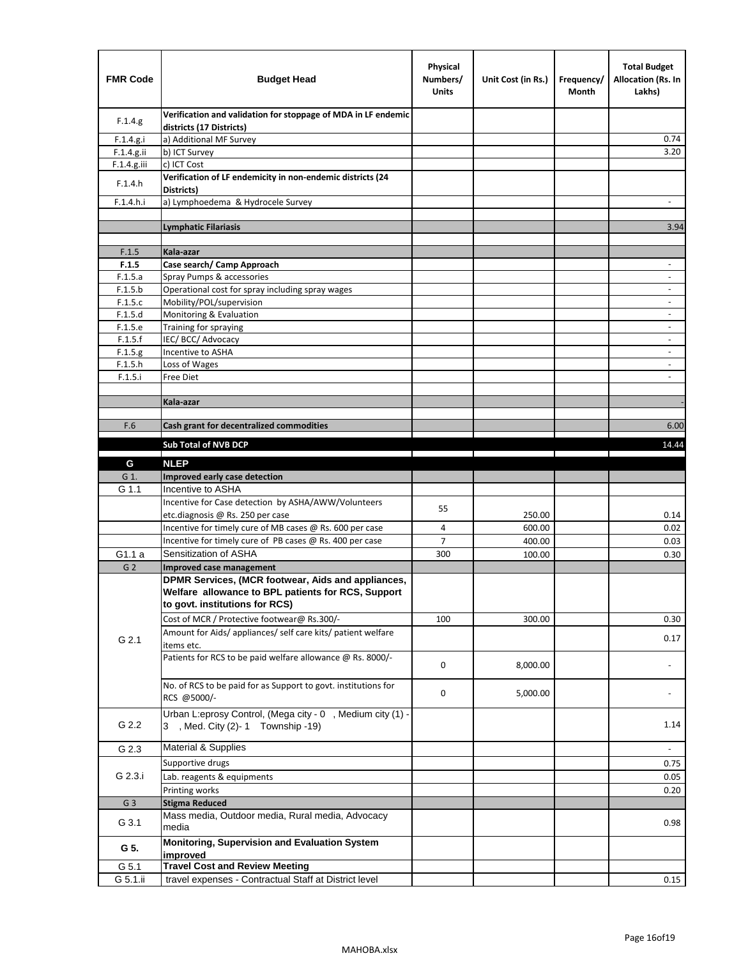| <b>FMR Code</b> | <b>Budget Head</b>                                                                                                                         | Physical<br>Numbers/<br><b>Units</b> | Unit Cost (in Rs.)                                                                                                   | Frequency/<br>Month | <b>Total Budget</b><br>Allocation (Rs. In<br>Lakhs) |
|-----------------|--------------------------------------------------------------------------------------------------------------------------------------------|--------------------------------------|----------------------------------------------------------------------------------------------------------------------|---------------------|-----------------------------------------------------|
| F.1.4.g.        | Verification and validation for stoppage of MDA in LF endemic<br>districts (17 Districts)                                                  |                                      |                                                                                                                      |                     |                                                     |
| F.1.4.g.i       | a) Additional MF Survey                                                                                                                    |                                      |                                                                                                                      |                     | 0.74                                                |
| $F.1.4.g.$ ii   | b) ICT Survey                                                                                                                              |                                      |                                                                                                                      |                     | 3.20                                                |
| $F.1.4.g.$ iii  | c) ICT Cost                                                                                                                                |                                      |                                                                                                                      |                     |                                                     |
| F.1.4.h         | Verification of LF endemicity in non-endemic districts (24<br>Districts)                                                                   |                                      |                                                                                                                      |                     |                                                     |
| F.1.4.h.i       | a) Lymphoedema & Hydrocele Survey                                                                                                          |                                      |                                                                                                                      |                     |                                                     |
|                 | <b>Lymphatic Filariasis</b>                                                                                                                |                                      |                                                                                                                      |                     | 3.94                                                |
|                 |                                                                                                                                            |                                      |                                                                                                                      |                     |                                                     |
| F.1.5           | Kala-azar                                                                                                                                  |                                      |                                                                                                                      |                     |                                                     |
| F.1.5           | Case search/ Camp Approach                                                                                                                 |                                      |                                                                                                                      |                     | $\overline{\phantom{a}}$                            |
| F.1.5.a         | Spray Pumps & accessories                                                                                                                  |                                      |                                                                                                                      |                     | $\overline{\phantom{a}}$                            |
| F.1.5.b         | Operational cost for spray including spray wages                                                                                           |                                      |                                                                                                                      |                     |                                                     |
| F.1.5.c         | Mobility/POL/supervision                                                                                                                   |                                      |                                                                                                                      |                     | $\overline{\phantom{a}}$                            |
| F.1.5.d         | Monitoring & Evaluation                                                                                                                    |                                      |                                                                                                                      |                     | $\blacksquare$                                      |
| F.1.5.e         | Training for spraying                                                                                                                      |                                      |                                                                                                                      |                     | $\sim$                                              |
| F.1.5.f         | IEC/BCC/Advocacy                                                                                                                           |                                      |                                                                                                                      |                     |                                                     |
| F.1.5.g         | Incentive to ASHA                                                                                                                          |                                      |                                                                                                                      |                     | $\overline{\phantom{a}}$                            |
| F.1.5.h         | Loss of Wages                                                                                                                              |                                      |                                                                                                                      |                     | $\overline{\phantom{a}}$                            |
| F.1.5.i         | Free Diet                                                                                                                                  |                                      |                                                                                                                      |                     |                                                     |
|                 |                                                                                                                                            |                                      |                                                                                                                      |                     |                                                     |
|                 | Kala-azar                                                                                                                                  |                                      |                                                                                                                      |                     |                                                     |
| F.6             | Cash grant for decentralized commodities                                                                                                   |                                      |                                                                                                                      |                     | 6.00                                                |
|                 |                                                                                                                                            |                                      |                                                                                                                      |                     |                                                     |
|                 | Sub Total of NVB DCP                                                                                                                       |                                      | <u> Tanzania de la contrada de la contrada de la contrada de la contrada de la contrada de la contrada de la con</u> |                     | 14.44                                               |
| G               | <b>NLEP</b>                                                                                                                                |                                      |                                                                                                                      |                     |                                                     |
| G 1.            | Improved early case detection                                                                                                              |                                      |                                                                                                                      |                     |                                                     |
| G 1.1           | Incentive to ASHA                                                                                                                          |                                      |                                                                                                                      |                     |                                                     |
|                 | Incentive for Case detection by ASHA/AWW/Volunteers                                                                                        |                                      |                                                                                                                      |                     |                                                     |
|                 | etc.diagnosis @ Rs. 250 per case                                                                                                           | 55                                   | 250.00                                                                                                               |                     | 0.14                                                |
|                 | Incentive for timely cure of MB cases @ Rs. 600 per case                                                                                   | 4                                    | 600.00                                                                                                               |                     | 0.02                                                |
|                 | Incentive for timely cure of PB cases @ Rs. 400 per case                                                                                   | 7                                    | 400.00                                                                                                               |                     | 0.03                                                |
| G1.1 a          | Sensitization of ASHA                                                                                                                      | 300                                  | 100.00                                                                                                               |                     | 0.30                                                |
| G <sub>2</sub>  | Improved case management                                                                                                                   |                                      |                                                                                                                      |                     |                                                     |
|                 | DPMR Services, (MCR footwear, Aids and appliances,<br>Welfare allowance to BPL patients for RCS, Support<br>to govt. institutions for RCS) |                                      |                                                                                                                      |                     |                                                     |
|                 | Cost of MCR / Protective footwear@ Rs.300/-                                                                                                | 100                                  | 300.00                                                                                                               |                     | 0.30                                                |
| G 2.1           | Amount for Aids/ appliances/ self care kits/ patient welfare<br>items etc.                                                                 |                                      |                                                                                                                      |                     | 0.17                                                |
|                 | Patients for RCS to be paid welfare allowance @ Rs. 8000/-                                                                                 | 0                                    | 8,000.00                                                                                                             |                     |                                                     |
|                 | No. of RCS to be paid for as Support to govt. institutions for<br>RCS @5000/-                                                              | 0                                    | 5,000.00                                                                                                             |                     |                                                     |
| G 2.2           | Urban L:eprosy Control, (Mega city - 0, Medium city (1) -<br>3 , Med. City (2)-1 Township -19)                                             |                                      |                                                                                                                      |                     | 1.14                                                |
| G 2.3           | Material & Supplies                                                                                                                        |                                      |                                                                                                                      |                     | $\blacksquare$                                      |
|                 | Supportive drugs                                                                                                                           |                                      |                                                                                                                      |                     | 0.75                                                |
| G 2.3.i         | Lab. reagents & equipments                                                                                                                 |                                      |                                                                                                                      |                     | 0.05                                                |
|                 | Printing works                                                                                                                             |                                      |                                                                                                                      |                     | 0.20                                                |
| G <sub>3</sub>  | <b>Stigma Reduced</b>                                                                                                                      |                                      |                                                                                                                      |                     |                                                     |
|                 | Mass media, Outdoor media, Rural media, Advocacy                                                                                           |                                      |                                                                                                                      |                     |                                                     |
| G 3.1           | media                                                                                                                                      |                                      |                                                                                                                      |                     | 0.98                                                |
| G 5.            | Monitoring, Supervision and Evaluation System<br>improved                                                                                  |                                      |                                                                                                                      |                     |                                                     |
| G 5.1           | <b>Travel Cost and Review Meeting</b>                                                                                                      |                                      |                                                                                                                      |                     |                                                     |
| G 5.1.ii        | travel expenses - Contractual Staff at District level                                                                                      |                                      |                                                                                                                      |                     | 0.15                                                |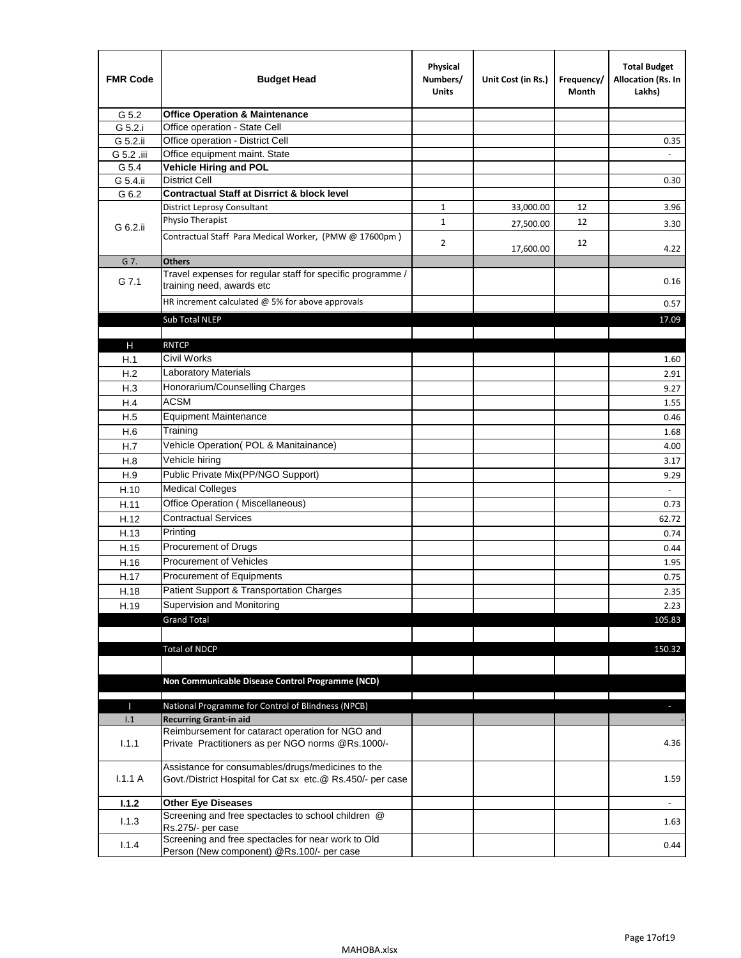| <b>FMR Code</b> | <b>Budget Head</b>                                                                                              | Physical<br>Numbers/<br><b>Units</b> | Unit Cost (in Rs.) | Frequency/<br>Month | <b>Total Budget</b><br>Allocation (Rs. In<br>Lakhs) |
|-----------------|-----------------------------------------------------------------------------------------------------------------|--------------------------------------|--------------------|---------------------|-----------------------------------------------------|
| G 5.2           | <b>Office Operation &amp; Maintenance</b>                                                                       |                                      |                    |                     |                                                     |
| G 5.2.i         | Office operation - State Cell                                                                                   |                                      |                    |                     |                                                     |
| G 5.2.ii        | Office operation - District Cell                                                                                |                                      |                    |                     | 0.35                                                |
| G 5.2 .iii      | Office equipment maint. State                                                                                   |                                      |                    |                     |                                                     |
| G 5.4           | <b>Vehicle Hiring and POL</b>                                                                                   |                                      |                    |                     |                                                     |
| G 5.4.ii        | <b>District Cell</b>                                                                                            |                                      |                    |                     | 0.30                                                |
| G 6.2           | <b>Contractual Staff at Disrrict &amp; block level</b>                                                          |                                      |                    |                     |                                                     |
|                 | <b>District Leprosy Consultant</b>                                                                              | 1                                    | 33,000.00          | 12                  | 3.96                                                |
| G 6.2.ii        | Physio Therapist                                                                                                | $\mathbf{1}$                         | 27,500.00          | 12                  | 3.30                                                |
|                 | Contractual Staff Para Medical Worker, (PMW @ 17600pm)                                                          | $\overline{2}$                       | 17,600.00          | 12                  | 4.22                                                |
| G 7.            | <b>Others</b>                                                                                                   |                                      |                    |                     |                                                     |
| G 7.1           | Travel expenses for regular staff for specific programme /<br>training need, awards etc                         |                                      |                    |                     | 0.16                                                |
|                 | HR increment calculated $\omega$ 5% for above approvals                                                         |                                      |                    |                     | 0.57                                                |
|                 | Sub Total NLEP                                                                                                  |                                      |                    |                     | 17.09                                               |
|                 |                                                                                                                 |                                      |                    |                     |                                                     |
| Н               | <b>RNTCP</b>                                                                                                    |                                      |                    |                     |                                                     |
| H.1             | Civil Works                                                                                                     |                                      |                    |                     | 1.60                                                |
| H.2             | Laboratory Materials                                                                                            |                                      |                    |                     | 2.91                                                |
| H.3             | Honorarium/Counselling Charges                                                                                  |                                      |                    |                     | 9.27                                                |
| H.4             | <b>ACSM</b>                                                                                                     |                                      |                    |                     | 1.55                                                |
| H.5             | <b>Equipment Maintenance</b>                                                                                    |                                      |                    |                     | 0.46                                                |
| H.6             | Training                                                                                                        |                                      |                    |                     | 1.68                                                |
| H.7             | Vehicle Operation(POL & Manitainance)                                                                           |                                      |                    |                     | 4.00                                                |
| H.8             | Vehicle hiring                                                                                                  |                                      |                    |                     | 3.17                                                |
| H.9             | Public Private Mix(PP/NGO Support)                                                                              |                                      |                    |                     | 9.29                                                |
| H.10            | <b>Medical Colleges</b>                                                                                         |                                      |                    |                     | $\omega$                                            |
| H.11            | Office Operation (Miscellaneous)                                                                                |                                      |                    |                     | 0.73                                                |
| H.12            | <b>Contractual Services</b>                                                                                     |                                      |                    |                     | 62.72                                               |
| H.13            | Printing                                                                                                        |                                      |                    |                     | 0.74                                                |
| H.15            | Procurement of Drugs                                                                                            |                                      |                    |                     | 0.44                                                |
| H.16            | Procurement of Vehicles                                                                                         |                                      |                    |                     | 1.95                                                |
| H.17            | Procurement of Equipments                                                                                       |                                      |                    |                     | 0.75                                                |
| H.18            | Patient Support & Transportation Charges                                                                        |                                      |                    |                     | 2.35                                                |
| H.19            | Supervision and Monitoring                                                                                      |                                      |                    |                     | 2.23                                                |
|                 | <b>Grand Total</b>                                                                                              |                                      |                    |                     | 105.83                                              |
|                 |                                                                                                                 |                                      |                    |                     |                                                     |
|                 | <b>Total of NDCP</b>                                                                                            |                                      |                    |                     | 150.32                                              |
|                 | Non Communicable Disease Control Programme (NCD)                                                                |                                      |                    |                     |                                                     |
| Т               | National Programme for Control of Blindness (NPCB)                                                              |                                      |                    |                     | ÷.                                                  |
| 1.1             | <b>Recurring Grant-in aid</b>                                                                                   |                                      |                    |                     |                                                     |
| 1.1.1           | Reimbursement for cataract operation for NGO and<br>Private Practitioners as per NGO norms @Rs.1000/-           |                                      |                    |                     | 4.36                                                |
| 1.1.1A          | Assistance for consumables/drugs/medicines to the<br>Govt./District Hospital for Cat sx etc.@ Rs.450/- per case |                                      |                    |                     | 1.59                                                |
|                 |                                                                                                                 |                                      |                    |                     |                                                     |
| 1.1.2           | <b>Other Eye Diseases</b><br>Screening and free spectacles to school children @                                 |                                      |                    |                     |                                                     |
| 1.1.3           | Rs.275/- per case                                                                                               |                                      |                    |                     | 1.63                                                |
| 1.1.4           | Screening and free spectacles for near work to Old<br>Person (New component) @Rs.100/- per case                 |                                      |                    |                     | 0.44                                                |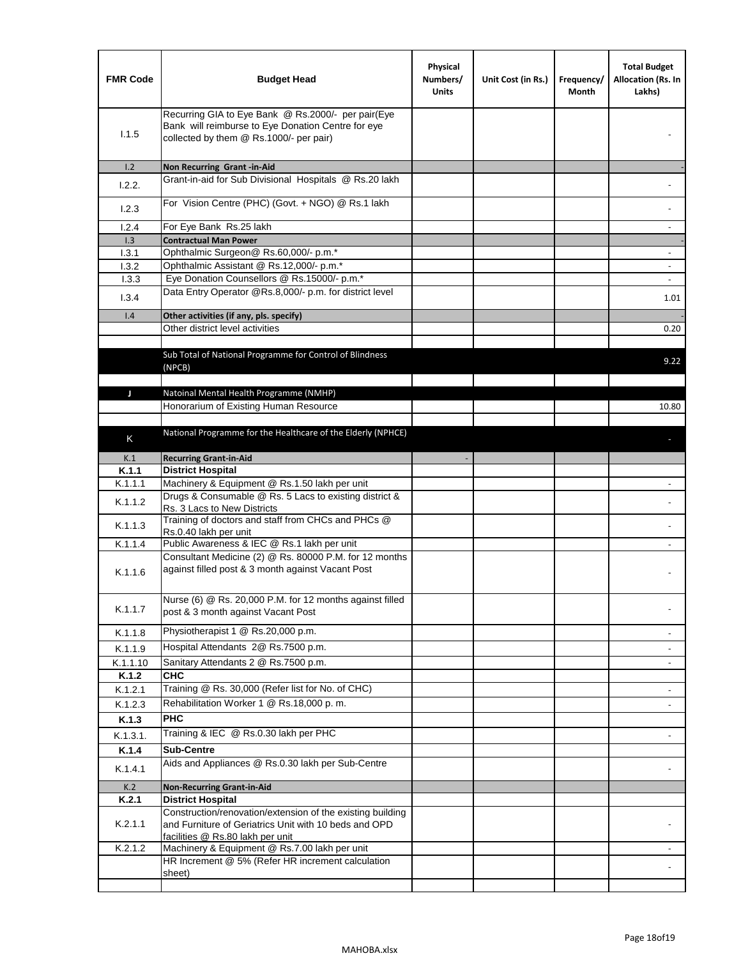| <b>FMR Code</b> | <b>Budget Head</b>                                                                                                                                  | Physical<br>Numbers/<br><b>Units</b> | Unit Cost (in Rs.) | Frequency/<br>Month | <b>Total Budget</b><br>Allocation (Rs. In<br>Lakhs) |
|-----------------|-----------------------------------------------------------------------------------------------------------------------------------------------------|--------------------------------------|--------------------|---------------------|-----------------------------------------------------|
| 1.1.5           | Recurring GIA to Eye Bank @ Rs.2000/- per pair(Eye<br>Bank will reimburse to Eye Donation Centre for eye<br>collected by them @ Rs.1000/- per pair) |                                      |                    |                     |                                                     |
| 1.2             | Non Recurring Grant -in-Aid                                                                                                                         |                                      |                    |                     |                                                     |
| 1.2.2.          | Grant-in-aid for Sub Divisional Hospitals @ Rs.20 lakh                                                                                              |                                      |                    |                     |                                                     |
| 1.2.3           | For Vision Centre (PHC) (Govt. + NGO) @ Rs.1 lakh                                                                                                   |                                      |                    |                     |                                                     |
| 1.2.4           | For Eye Bank Rs.25 lakh                                                                                                                             |                                      |                    |                     | $\overline{\phantom{a}}$                            |
| 1.3<br>1.3.1    | <b>Contractual Man Power</b><br>Ophthalmic Surgeon@ Rs.60,000/- p.m.*                                                                               |                                      |                    |                     | $\sim$                                              |
| 1.3.2           | Ophthalmic Assistant @ Rs.12,000/- p.m.*                                                                                                            |                                      |                    |                     |                                                     |
| 1.3.3           | Eye Donation Counsellors @ Rs.15000/- p.m.*                                                                                                         |                                      |                    |                     | $\sim$                                              |
| 1.3.4           | Data Entry Operator @Rs.8,000/- p.m. for district level                                                                                             |                                      |                    |                     | 1.01                                                |
| 1.4             | Other activities (if any, pls. specify)                                                                                                             |                                      |                    |                     |                                                     |
|                 | Other district level activities                                                                                                                     |                                      |                    |                     | 0.20                                                |
|                 | Sub Total of National Programme for Control of Blindness<br>(NPCB)                                                                                  |                                      |                    |                     | 9.22                                                |
| J               | Natoinal Mental Health Programme (NMHP)                                                                                                             |                                      |                    |                     |                                                     |
|                 | Honorarium of Existing Human Resource                                                                                                               |                                      |                    |                     | 10.80                                               |
|                 |                                                                                                                                                     |                                      |                    |                     |                                                     |
| K               | National Programme for the Healthcare of the Elderly (NPHCE)                                                                                        |                                      |                    |                     |                                                     |
| K.1             | <b>Recurring Grant-in-Aid</b>                                                                                                                       |                                      |                    |                     |                                                     |
| K.1.1           | <b>District Hospital</b>                                                                                                                            |                                      |                    |                     |                                                     |
| K.1.1.1         | Machinery & Equipment @ Rs.1.50 lakh per unit                                                                                                       |                                      |                    |                     |                                                     |
| K.1.1.2         | Drugs & Consumable @ Rs. 5 Lacs to existing district &<br>Rs. 3 Lacs to New Districts                                                               |                                      |                    |                     |                                                     |
| K.1.1.3         | Training of doctors and staff from CHCs and PHCs @<br>Rs.0.40 lakh per unit                                                                         |                                      |                    |                     |                                                     |
| K.1.1.4         | Public Awareness & IEC @ Rs.1 lakh per unit                                                                                                         |                                      |                    |                     |                                                     |
| K.1.1.6         | Consultant Medicine (2) @ Rs. 80000 P.M. for 12 months<br>against filled post & 3 month against Vacant Post                                         |                                      |                    |                     |                                                     |
| K.1.1.7         | Nurse (6) @ Rs. 20,000 P.M. for 12 months against filled<br>post & 3 month against Vacant Post                                                      |                                      |                    |                     |                                                     |
| K.1.1.8         | Physiotherapist 1 @ Rs.20,000 p.m.                                                                                                                  |                                      |                    |                     |                                                     |
| K.1.1.9         | Hospital Attendants 2@ Rs.7500 p.m.                                                                                                                 |                                      |                    |                     |                                                     |
| K.1.1.10        | Sanitary Attendants 2 @ Rs.7500 p.m.                                                                                                                |                                      |                    |                     | $\overline{\phantom{a}}$                            |
| K.1.2           | <b>CHC</b>                                                                                                                                          |                                      |                    |                     |                                                     |
| K.1.2.1         | Training @ Rs. 30,000 (Refer list for No. of CHC)                                                                                                   |                                      |                    |                     |                                                     |
| K.1.2.3         | Rehabilitation Worker 1 @ Rs.18,000 p. m.                                                                                                           |                                      |                    |                     |                                                     |
| K.1.3           | <b>PHC</b>                                                                                                                                          |                                      |                    |                     |                                                     |
| K.1.3.1.        | Training & IEC @ Rs.0.30 lakh per PHC                                                                                                               |                                      |                    |                     |                                                     |
| K.1.4           | <b>Sub-Centre</b>                                                                                                                                   |                                      |                    |                     |                                                     |
| K.1.4.1         | Aids and Appliances @ Rs.0.30 lakh per Sub-Centre                                                                                                   |                                      |                    |                     |                                                     |
| K.2             | <b>Non-Recurring Grant-in-Aid</b>                                                                                                                   |                                      |                    |                     |                                                     |
| K.2.1           | <b>District Hospital</b><br>Construction/renovation/extension of the existing building                                                              |                                      |                    |                     |                                                     |
| K.2.1.1         | and Furniture of Geriatrics Unit with 10 beds and OPD<br>facilities @ Rs.80 lakh per unit                                                           |                                      |                    |                     |                                                     |
| K.2.1.2         | Machinery & Equipment @ Rs.7.00 lakh per unit                                                                                                       |                                      |                    |                     |                                                     |
|                 | HR Increment @ 5% (Refer HR increment calculation<br>sheet)                                                                                         |                                      |                    |                     |                                                     |
|                 |                                                                                                                                                     |                                      |                    |                     |                                                     |